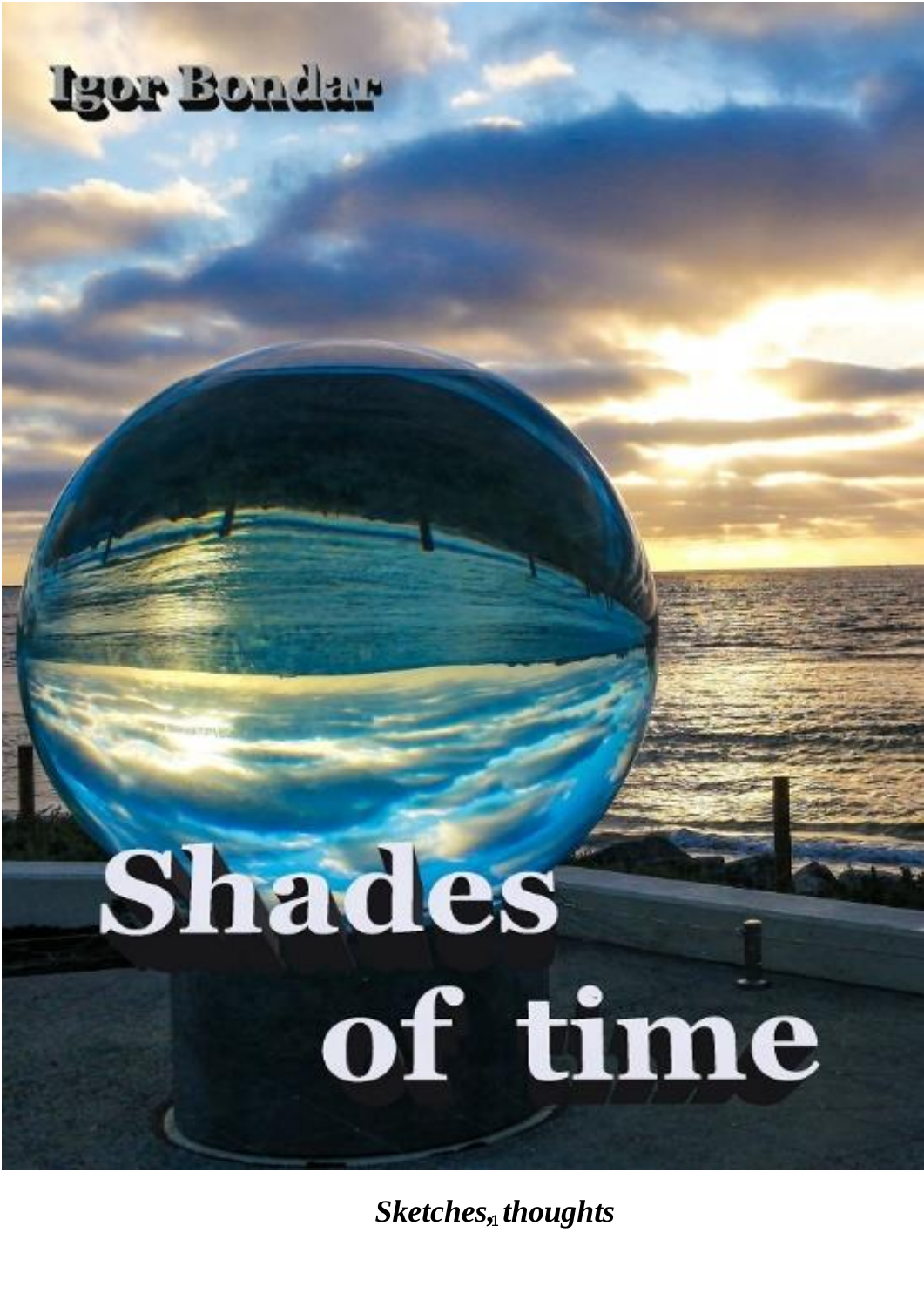## Igor Bondar

# Shades of time

 $Sketches, thoughts$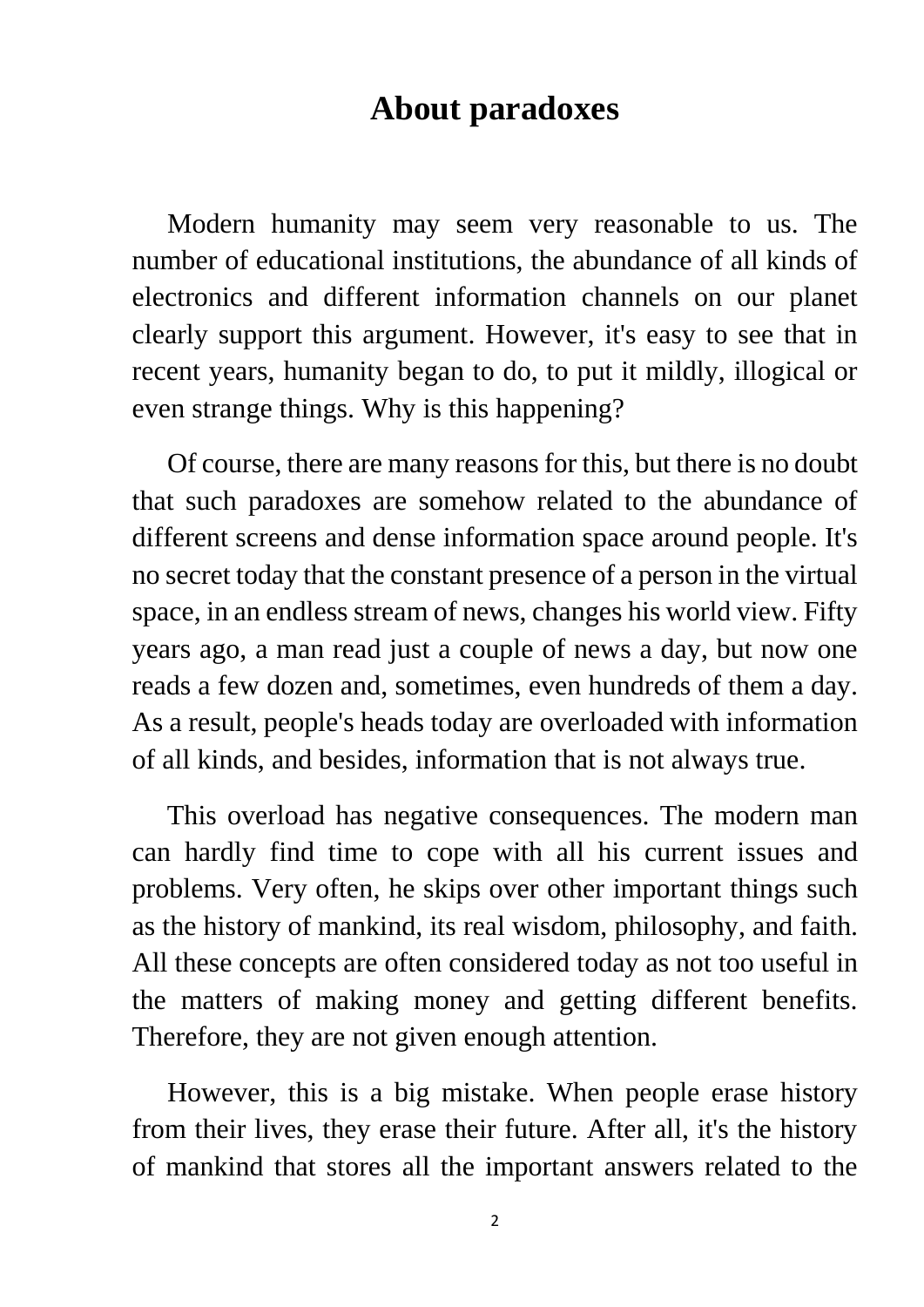#### **About paradoxes**

 Modern humanity may seem very reasonable to us. The number of educational institutions, the abundance of all kinds of electronics and different information channels on our planet clearly support this argument. However, it's easy to see that in recent years, humanity began to do, to put it mildly, illogical or even strange things. Why is this happening?

 Of course, there are many reasons for this, but there is no doubt that such paradoxes are somehow related to the abundance of different screens and dense information space around people. It's no secret today that the constant presence of a person in the virtual space, in an endless stream of news, changes his world view. Fifty years ago, a man read just a couple of news a day, but now one reads a few dozen and, sometimes, even hundreds of them a day. As a result, people's heads today are overloaded with information of all kinds, and besides, information that is not always true.

 This overload has negative consequences. The modern man can hardly find time to cope with all his current issues and problems. Very often, he skips over other important things such as the history of mankind, its real wisdom, philosophy, and faith. All these concepts are often considered today as not too useful in the matters of making money and getting different benefits. Therefore, they are not given enough attention.

 However, this is a big mistake. When people erase history from their lives, they erase their future. After all, it's the history of mankind that stores all the important answers related to the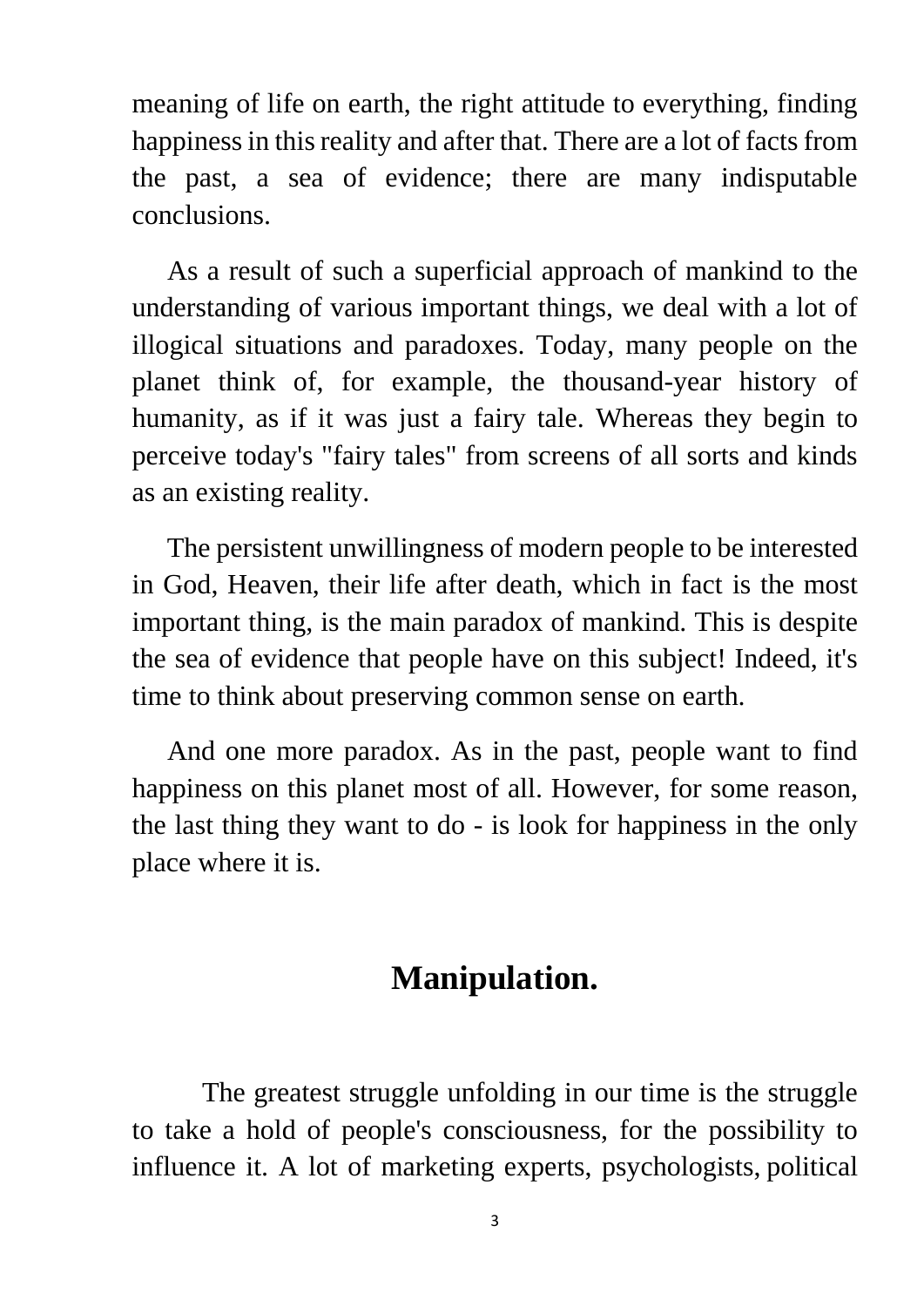meaning of life on earth, the right attitude to everything, finding happiness in this reality and after that. There are a lot of facts from the past, a sea of evidence; there are many indisputable conclusions.

 As a result of such a superficial approach of mankind to the understanding of various important things, we deal with a lot of illogical situations and paradoxes. Today, many people on the planet think of, for example, the thousand-year history of humanity, as if it was just a fairy tale. Whereas they begin to perceive today's "fairy tales" from screens of all sorts and kinds as an existing reality.

 The persistent unwillingness of modern people to be interested in God, Heaven, their life after death, which in fact is the most important thing, is the main paradox of mankind. This is despite the sea of evidence that people have on this subject! Indeed, it's time to think about preserving common sense on earth.

 And one more paradox. As in the past, people want to find happiness on this planet most of all. However, for some reason, the last thing they want to do - is look for happiness in the only place where it is.

#### **Manipulation.**

 The greatest struggle unfolding in our time is the struggle to take a hold of people's consciousness, for the possibility to influence it. A lot of marketing experts, psychologists, political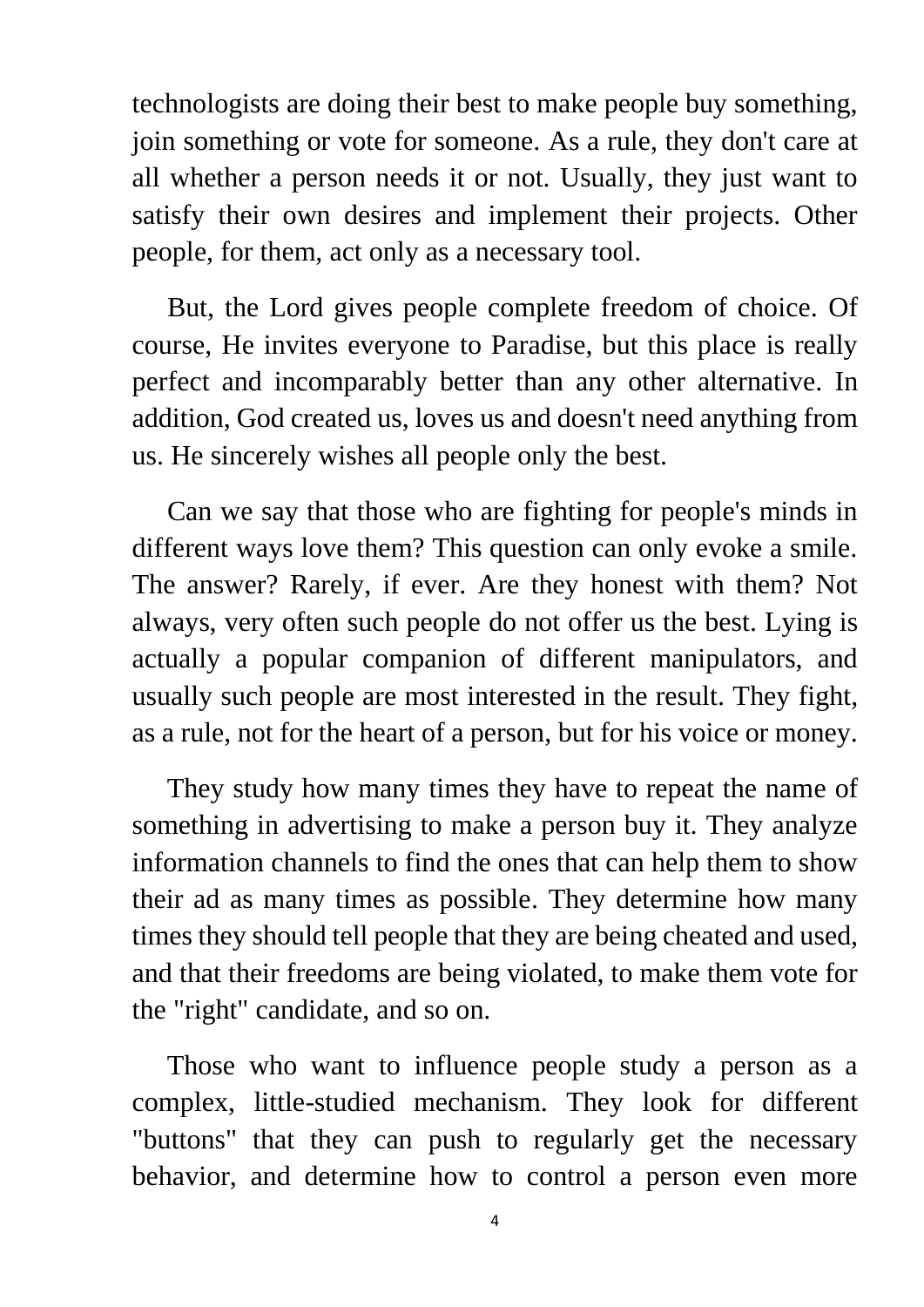technologists are doing their best to make people buy something, join something or vote for someone. As a rule, they don't care at all whether a person needs it or not. Usually, they just want to satisfy their own desires and implement their projects. Other people, for them, act only as a necessary tool.

 But, the Lord gives people complete freedom of choice. Of course, He invites everyone to Paradise, but this place is really perfect and incomparably better than any other alternative. In addition, God created us, loves us and doesn't need anything from us. He sincerely wishes all people only the best.

 Can we say that those who are fighting for people's minds in different ways love them? This question can only evoke a smile. The answer? Rarely, if ever. Are they honest with them? Not always, very often such people do not offer us the best. Lying is actually a popular companion of different manipulators, and usually such people are most interested in the result. They fight, as a rule, not for the heart of a person, but for his voice or money.

 They study how many times they have to repeat the name of something in advertising to make a person buy it. They analyze information channels to find the ones that can help them to show their ad as many times as possible. They determine how many times they should tell people that they are being cheated and used, and that their freedoms are being violated, to make them vote for the "right" candidate, and so on.

 Those who want to influence people study a person as a complex, little-studied mechanism. They look for different "buttons" that they can push to regularly get the necessary behavior, and determine how to control a person even more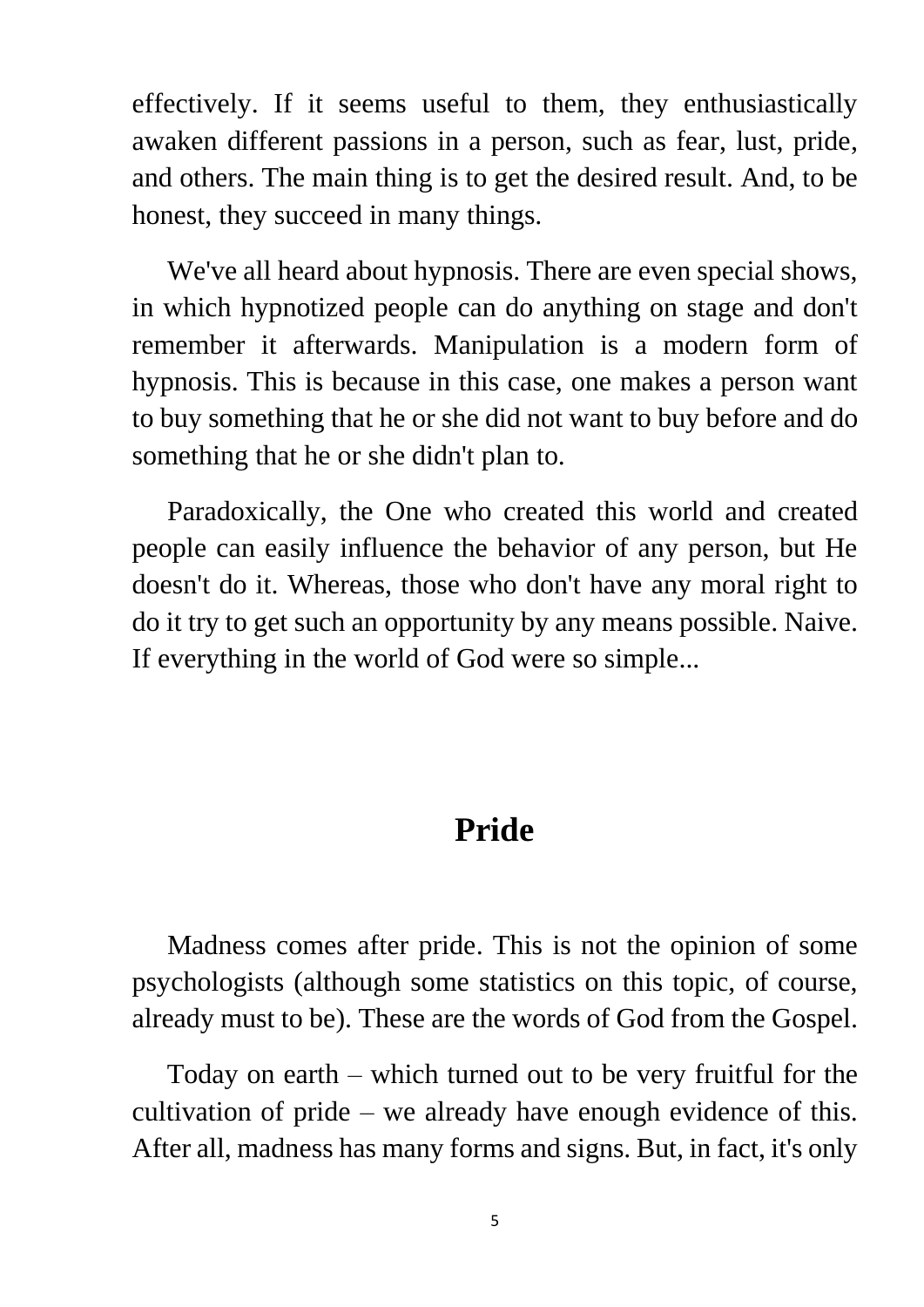effectively. If it seems useful to them, they enthusiastically awaken different passions in a person, such as fear, lust, pride, and others. The main thing is to get the desired result. And, to be honest, they succeed in many things.

 We've all heard about hypnosis. There are even special shows, in which hypnotized people can do anything on stage and don't remember it afterwards. Manipulation is a modern form of hypnosis. This is because in this case, one makes a person want to buy something that he or she did not want to buy before and do something that he or she didn't plan to.

 Paradoxically, the One who created this world and created people can easily influence the behavior of any person, but He doesn't do it. Whereas, those who don't have any moral right to do it try to get such an opportunity by any means possible. Naive. If everything in the world of God were so simple...

#### **Pride**

 Madness comes after pride. This is not the opinion of some psychologists (although some statistics on this topic, of course, already must to be). These are the words of God from the Gospel.

 Today on earth – which turned out to be very fruitful for the cultivation of pride – we already have enough evidence of this. After all, madness has many forms and signs. But, in fact, it's only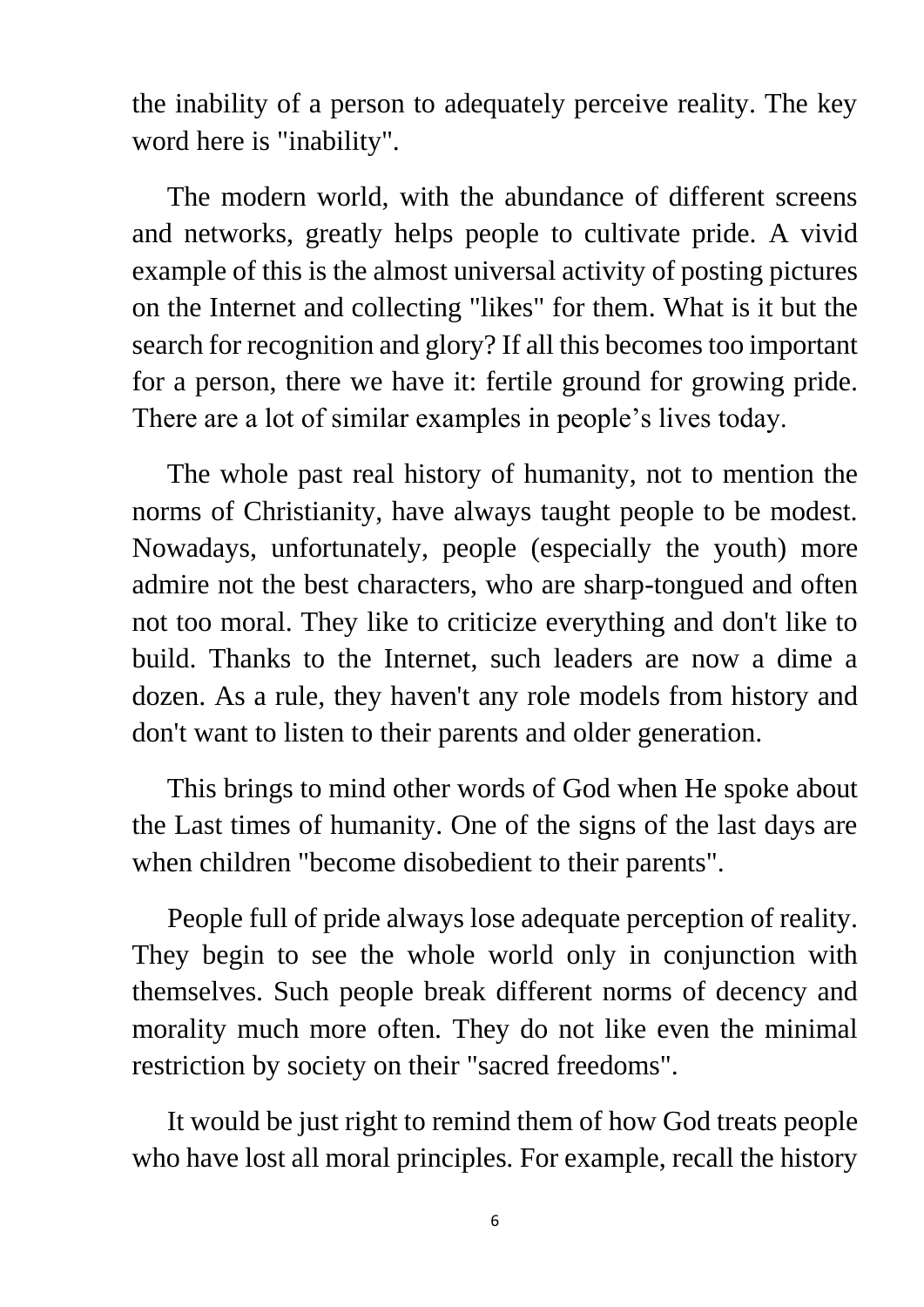the inability of a person to adequately perceive reality. The key word here is "inability".

 The modern world, with the abundance of different screens and networks, greatly helps people to cultivate pride. A vivid example of this is the almost universal activity of posting pictures on the Internet and collecting "likes" for them. What is it but the search for recognition and glory? If all this becomes too important for a person, there we have it: fertile ground for growing pride. There are a lot of similar examples in people's lives today.

 The whole past real history of humanity, not to mention the norms of Christianity, have always taught people to be modest. Nowadays, unfortunately, people (especially the youth) more admire not the best characters, who are sharp-tongued and often not too moral. They like to criticize everything and don't like to build. Thanks to the Internet, such leaders are now a dime a dozen. As a rule, they haven't any role models from history and don't want to listen to their parents and older generation.

 This brings to mind other words of God when He spoke about the Last times of humanity. One of the signs of the last days are when children "become disobedient to their parents".

 People full of pride always lose adequate perception of reality. They begin to see the whole world only in conjunction with themselves. Such people break different norms of decency and morality much more often. They do not like even the minimal restriction by society on their "sacred freedoms".

 It would be just right to remind them of how God treats people who have lost all moral principles. For example, recall the history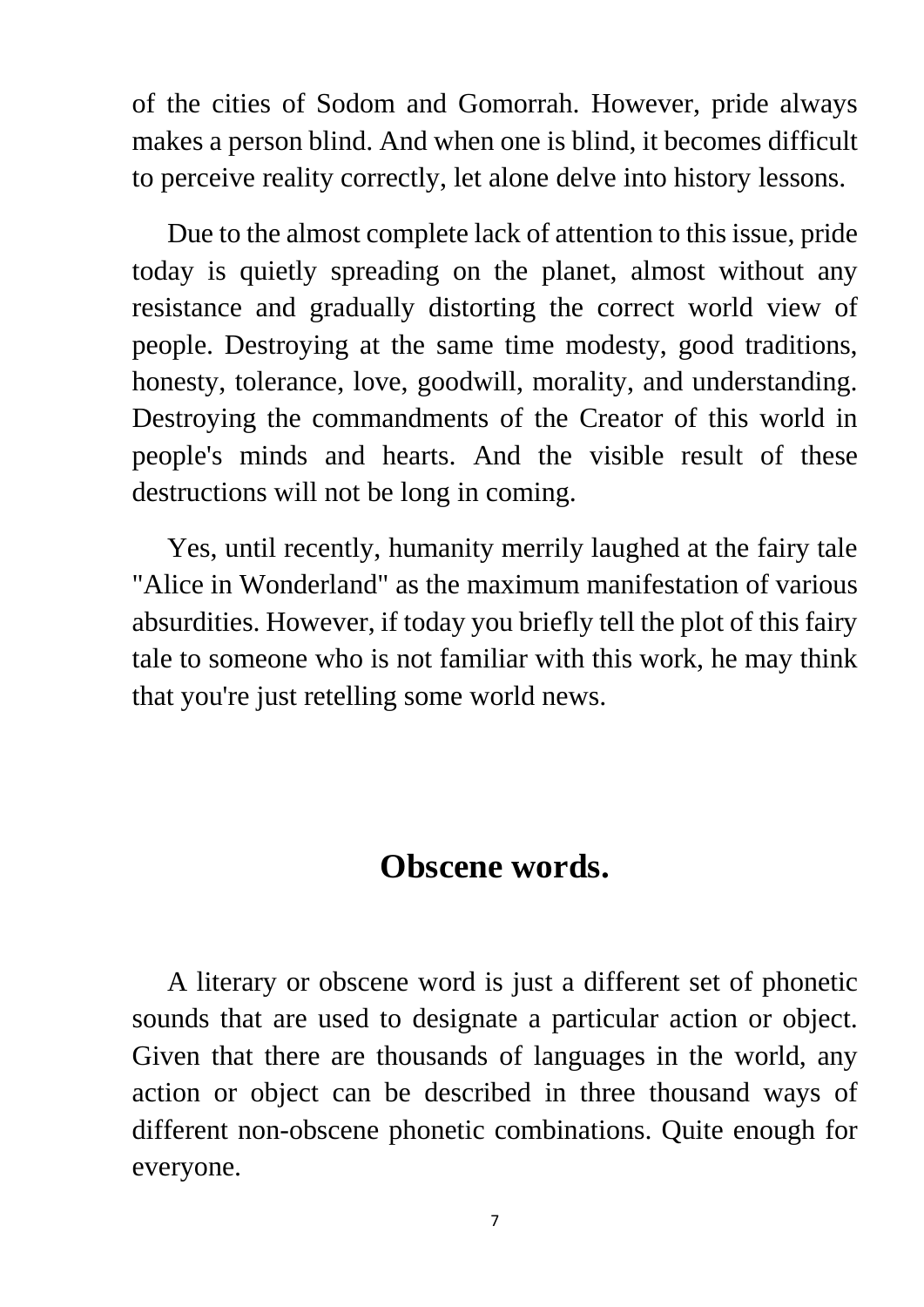of the cities of Sodom and Gomorrah. However, pride always makes a person blind. And when one is blind, it becomes difficult to perceive reality correctly, let alone delve into history lessons.

 Due to the almost complete lack of attention to this issue, pride today is quietly spreading on the planet, almost without any resistance and gradually distorting the correct world view of people. Destroying at the same time modesty, good traditions, honesty, tolerance, love, goodwill, morality, and understanding. Destroying the commandments of the Creator of this world in people's minds and hearts. And the visible result of these destructions will not be long in coming.

 Yes, until recently, humanity merrily laughed at the fairy tale "Alice in Wonderland" as the maximum manifestation of various absurdities. However, if today you briefly tell the plot of this fairy tale to someone who is not familiar with this work, he may think that you're just retelling some world news.

#### **Obscene words.**

 A literary or obscene word is just a different set of phonetic sounds that are used to designate a particular action or object. Given that there are thousands of languages in the world, any action or object can be described in three thousand ways of different non-obscene phonetic combinations. Quite enough for everyone.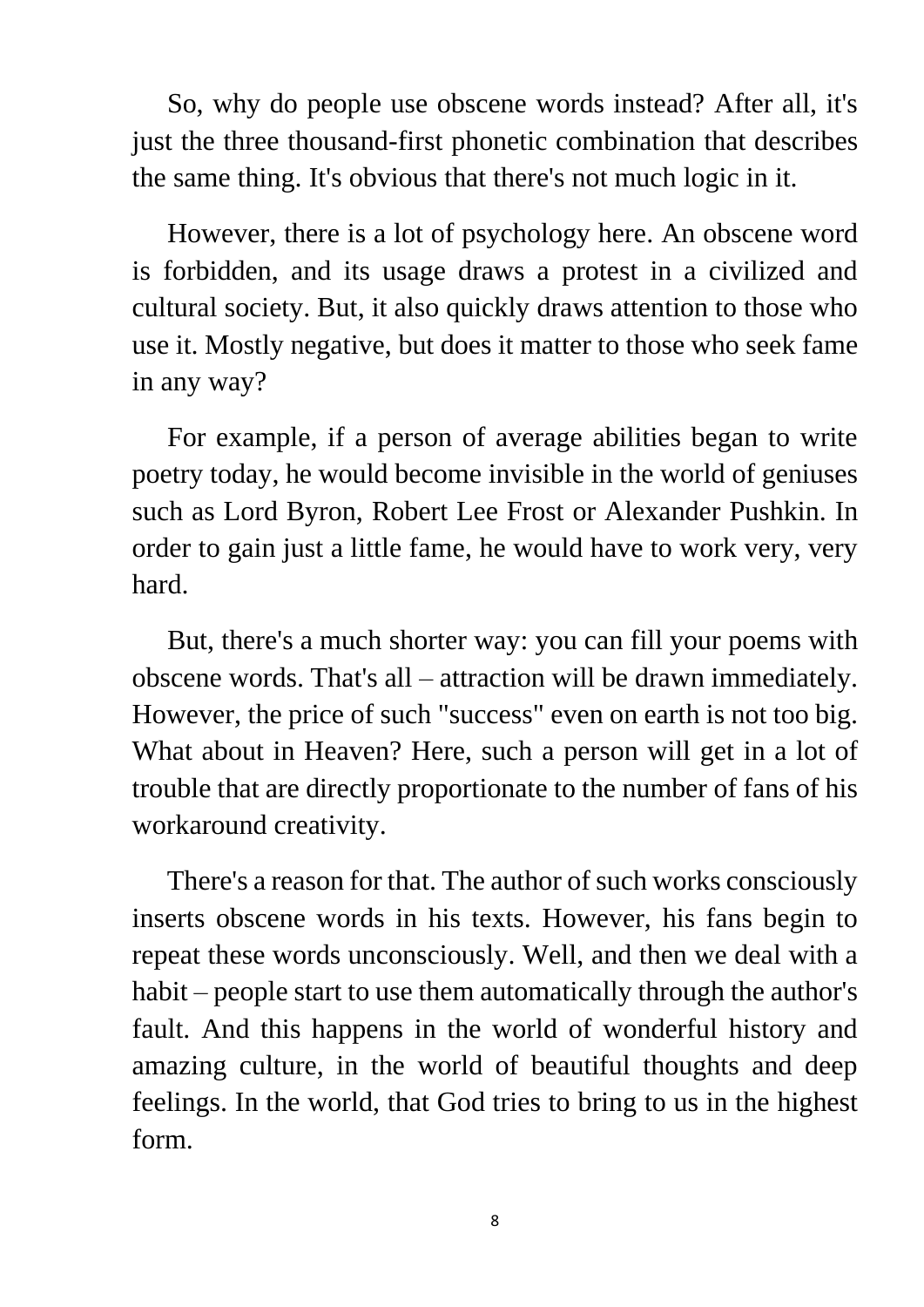So, why do people use obscene words instead? After all, it's just the three thousand-first phonetic combination that describes the same thing. It's obvious that there's not much logic in it.

 However, there is a lot of psychology here. An obscene word is forbidden, and its usage draws a protest in a civilized and cultural society. But, it also quickly draws attention to those who use it. Mostly negative, but does it matter to those who seek fame in any way?

 For example, if a person of average abilities began to write poetry today, he would become invisible in the world of geniuses such as Lord Byron, Robert Lee Frost or Alexander Pushkin. In order to gain just a little fame, he would have to work very, very hard.

 But, there's a much shorter way: you can fill your poems with obscene words. That's all – attraction will be drawn immediately. However, the price of such "success" even on earth is not too big. What about in Heaven? Here, such a person will get in a lot of trouble that are directly proportionate to the number of fans of his workaround creativity.

 There's a reason for that. The author of such works consciously inserts obscene words in his texts. However, his fans begin to repeat these words unconsciously. Well, and then we deal with a habit – people start to use them automatically through the author's fault. And this happens in the world of wonderful history and amazing culture, in the world of beautiful thoughts and deep feelings. In the world, that God tries to bring to us in the highest form.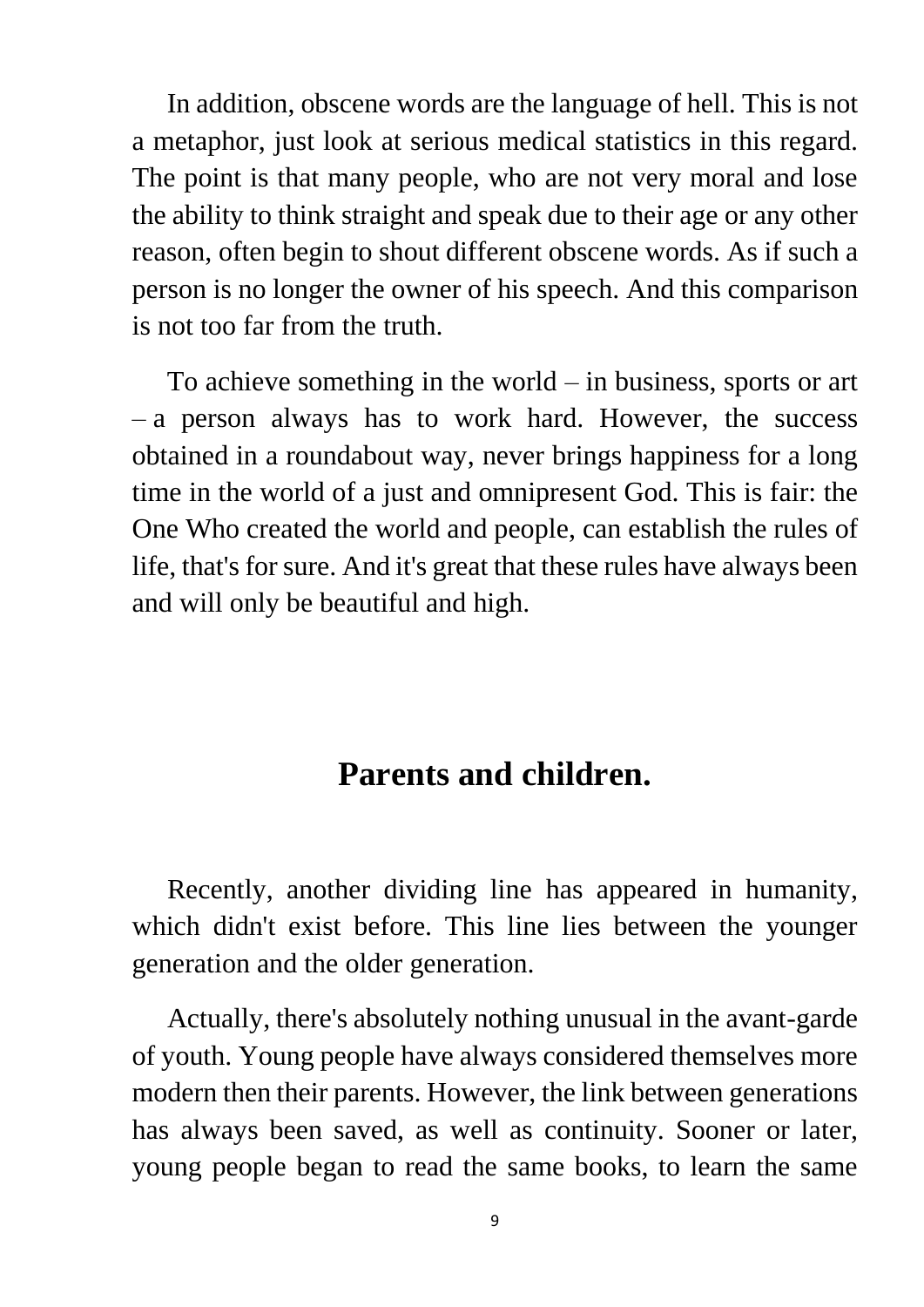In addition, obscene words are the language of hell. This is not a metaphor, just look at serious medical statistics in this regard. The point is that many people, who are not very moral and lose the ability to think straight and speak due to their age or any other reason, often begin to shout different obscene words. As if such a person is no longer the owner of his speech. And this comparison is not too far from the truth.

 To achieve something in the world – in business, sports or art – a person always has to work hard. However, the success obtained in a roundabout way, never brings happiness for a long time in the world of a just and omnipresent God. This is fair: the One Who created the world and people, can establish the rules of life, that's for sure. And it's great that these rules have always been and will only be beautiful and high.

#### **Parents and children.**

 Recently, another dividing line has appeared in humanity, which didn't exist before. This line lies between the younger generation and the older generation.

 Actually, there's absolutely nothing unusual in the avant-garde of youth. Young people have always considered themselves more modern then their parents. However, the link between generations has always been saved, as well as continuity. Sooner or later, young people began to read the same books, to learn the same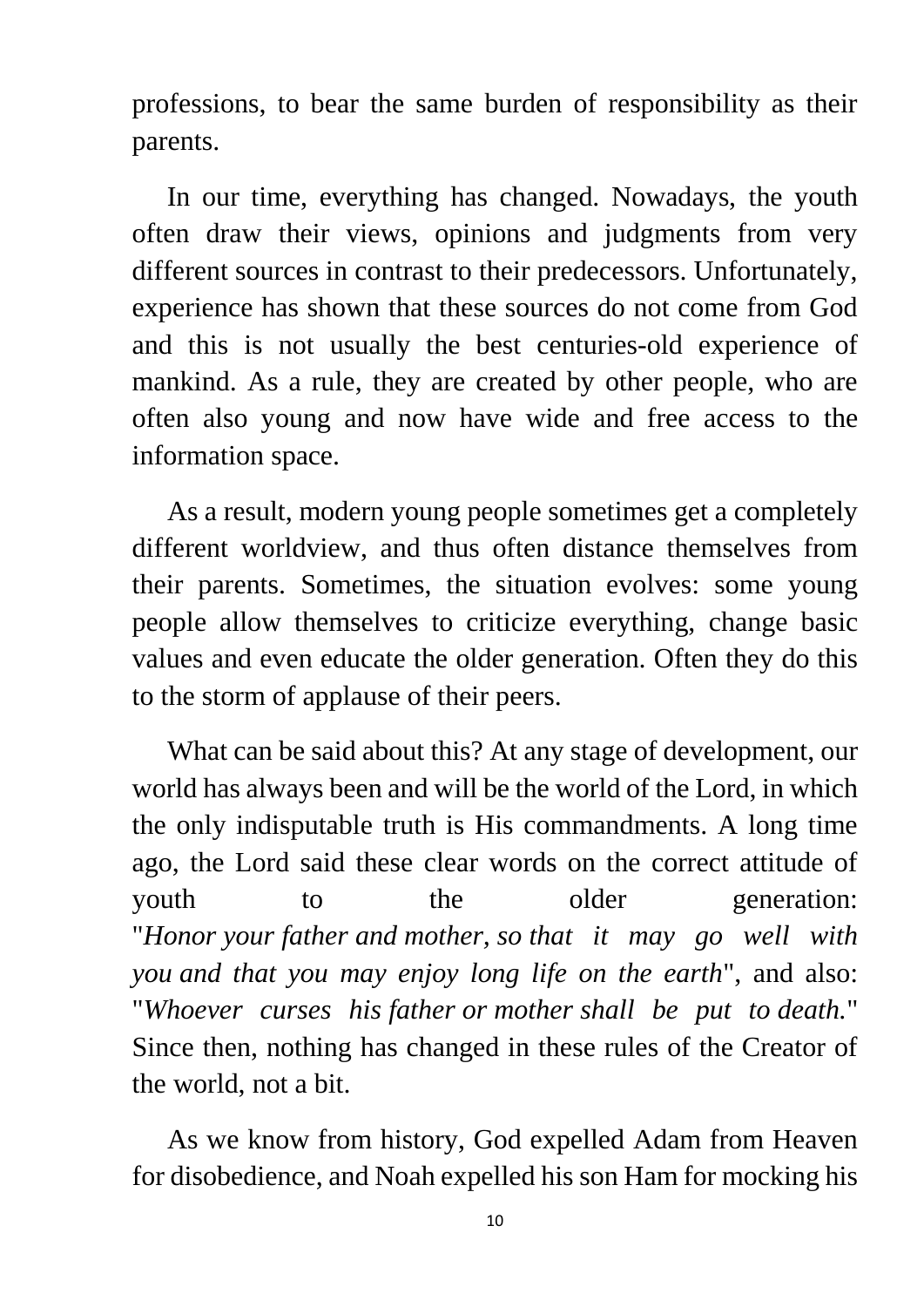professions, to bear the same burden of responsibility as their parents.

 In our time, everything has changed. Nowadays, the youth often draw their views, opinions and judgments from very different sources in contrast to their predecessors. Unfortunately, experience has shown that these sources do not come from God and this is not usually the best centuries-old experience of mankind. As a rule, they are created by other people, who are often also young and now have wide and free access to the information space.

 As a result, modern young people sometimes get a completely different worldview, and thus often distance themselves from their parents. Sometimes, the situation evolves: some young people allow themselves to criticize everything, change basic values and even educate the older generation. Often they do this to the storm of applause of their peers.

 What can be said about this? At any stage of development, our world has always been and will be the world of the Lord, in which the only indisputable truth is His commandments. A long time ago, the Lord said these clear words on the correct attitude of youth to the older generation: "*Honor your father and mother, so that it may go well with you and that you may enjoy long life on the earth*", and also: "*Whoever curses his father or mother shall be put to death.*" Since then, nothing has changed in these rules of the Creator of the world, not a bit.

 As we know from history, God expelled Adam from Heaven for disobedience, and Noah expelled his son Ham for mocking his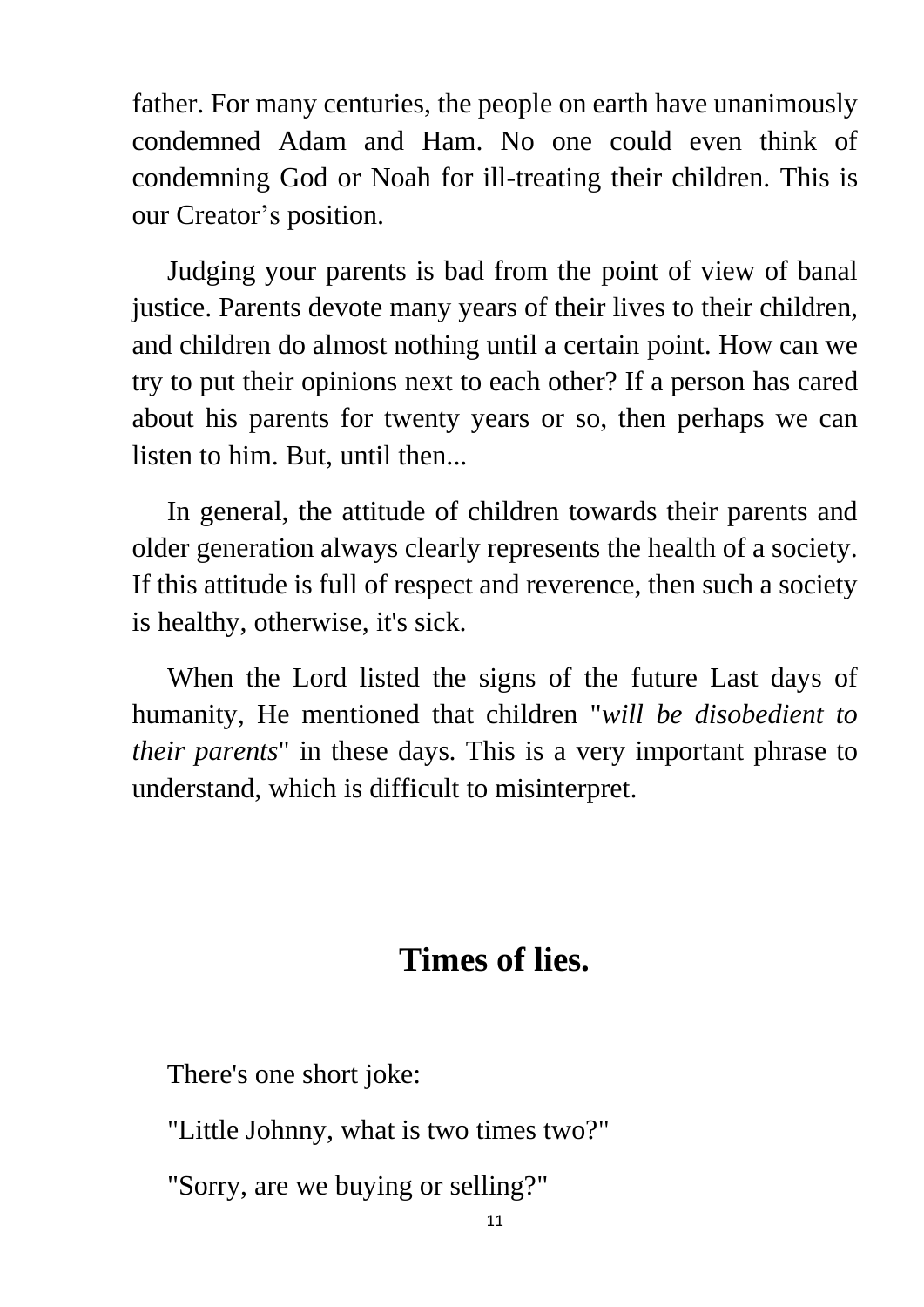father. For many centuries, the people on earth have unanimously condemned Adam and Ham. No one could even think of condemning God or Noah for ill-treating their children. This is our Creator's position.

 Judging your parents is bad from the point of view of banal justice. Parents devote many years of their lives to their children, and children do almost nothing until a certain point. How can we try to put their opinions next to each other? If a person has cared about his parents for twenty years or so, then perhaps we can listen to him. But, until then...

 In general, the attitude of children towards their parents and older generation always clearly represents the health of a society. If this attitude is full of respect and reverence, then such a society is healthy, otherwise, it's sick.

 When the Lord listed the signs of the future Last days of humanity, He mentioned that children "*will be disobedient to their parents*" in these days. This is a very important phrase to understand, which is difficult to misinterpret.

#### **Times of lies.**

There's one short joke:

"Little Johnny, what is two times two?"

"Sorry, are we buying or selling?"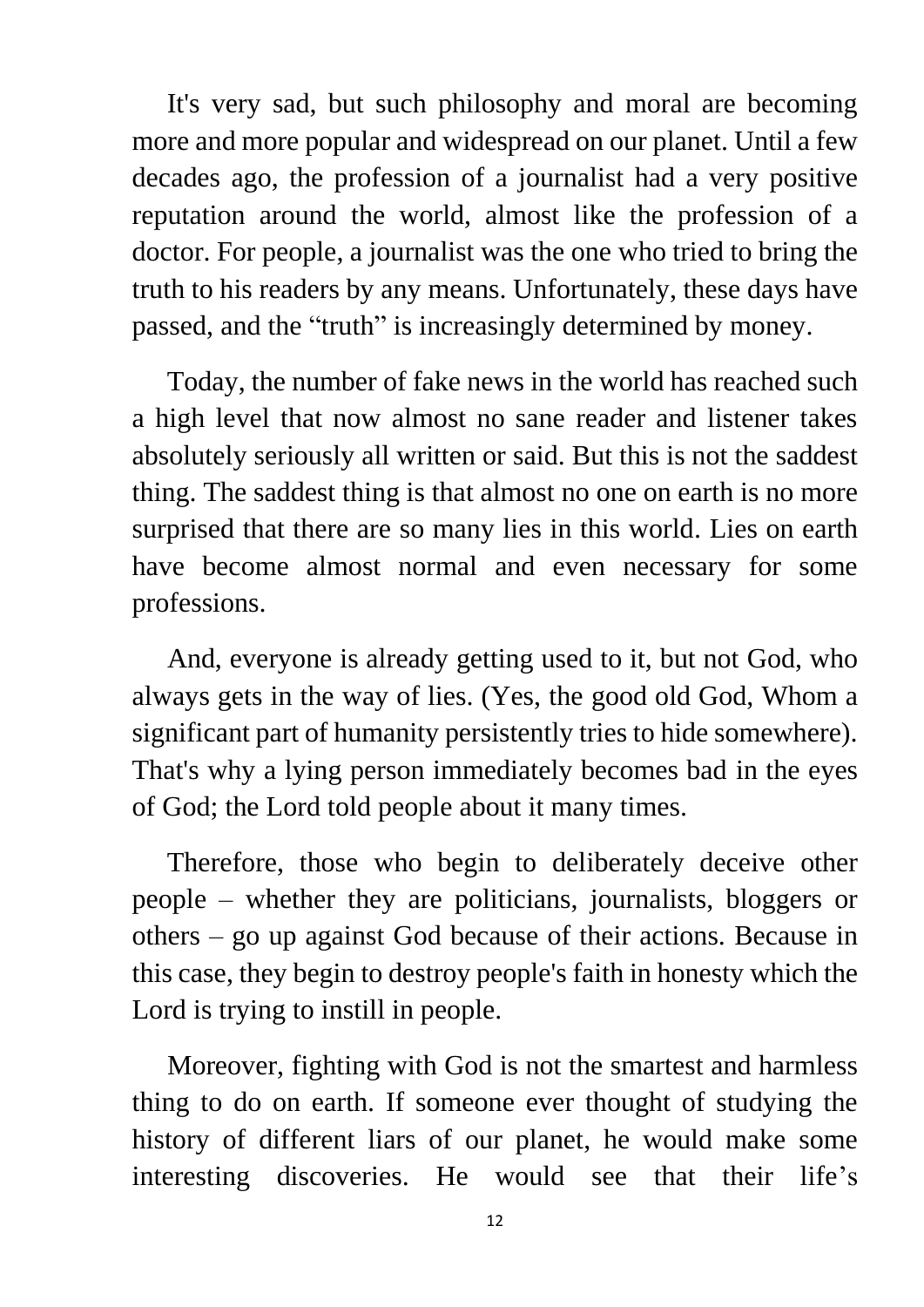It's very sad, but such philosophy and moral are becoming more and more popular and widespread on our planet. Until a few decades ago, the profession of a journalist had a very positive reputation around the world, almost like the profession of a doctor. For people, a journalist was the one who tried to bring the truth to his readers by any means. Unfortunately, these days have passed, and the "truth" is increasingly determined by money.

 Today, the number of fake news in the world has reached such a high level that now almost no sane reader and listener takes absolutely seriously all written or said. But this is not the saddest thing. The saddest thing is that almost no one on earth is no more surprised that there are so many lies in this world. Lies on earth have become almost normal and even necessary for some professions.

 And, everyone is already getting used to it, but not God, who always gets in the way of lies. (Yes, the good old God, Whom a significant part of humanity persistently tries to hide somewhere). That's why a lying person immediately becomes bad in the eyes of God; the Lord told people about it many times.

 Therefore, those who begin to deliberately deceive other people – whether they are politicians, journalists, bloggers or others – go up against God because of their actions. Because in this case, they begin to destroy people's faith in honesty which the Lord is trying to instill in people.

 Moreover, fighting with God is not the smartest and harmless thing to do on earth. If someone ever thought of studying the history of different liars of our planet, he would make some interesting discoveries. He would see that their life's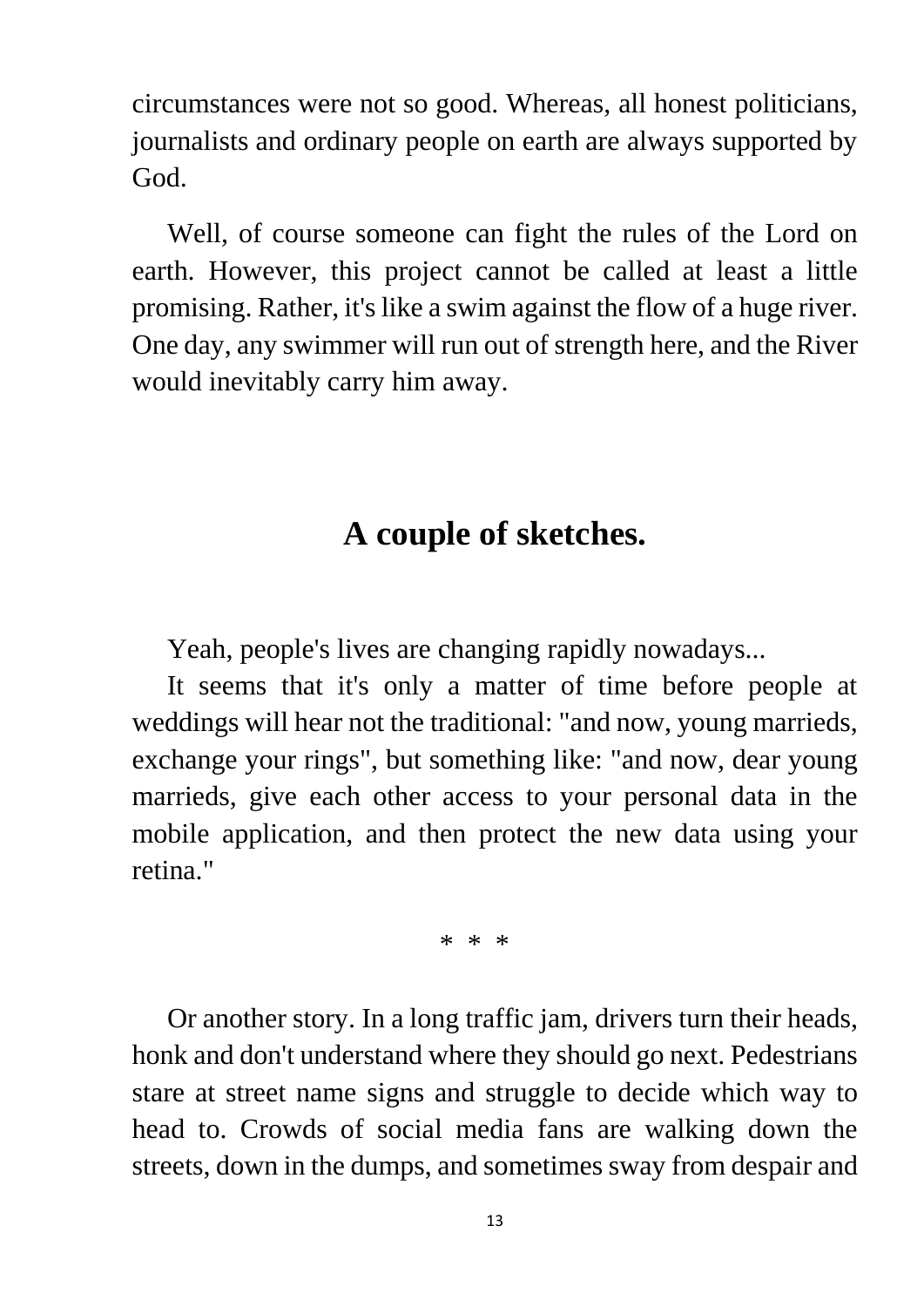circumstances were not so good. Whereas, all honest politicians, journalists and ordinary people on earth are always supported by God.

 Well, of course someone can fight the rules of the Lord on earth. However, this project cannot be called at least a little promising. Rather, it's like a swim against the flow of a huge river. One day, any swimmer will run out of strength here, and the River would inevitably carry him away.

#### **A couple of sketches.**

Yeah, people's lives are changing rapidly nowadays...

 It seems that it's only a matter of time before people at weddings will hear not the traditional: "and now, young marrieds, exchange your rings", but something like: "and now, dear young marrieds, give each other access to your personal data in the mobile application, and then protect the new data using your retina."

\* \* \*

 Or another story. In a long traffic jam, drivers turn their heads, honk and don't understand where they should go next. Pedestrians stare at street name signs and struggle to decide which way to head to. Crowds of social media fans are walking down the streets, down in the dumps, and sometimes sway from despair and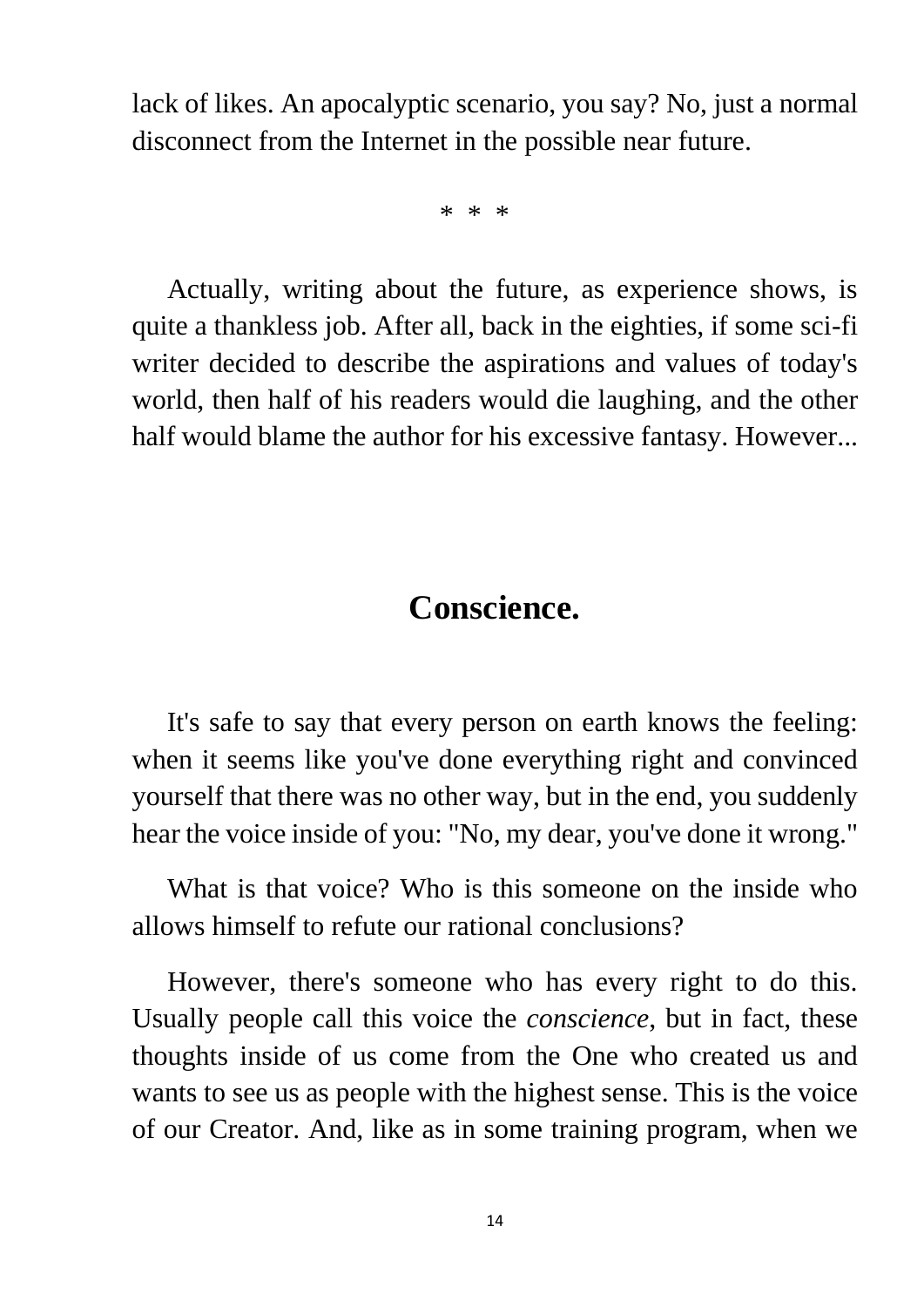lack of likes. An apocalyptic scenario, you say? No, just a normal disconnect from the Internet in the possible near future.

\* \* \*

 Actually, writing about the future, as experience shows, is quite a thankless job. After all, back in the eighties, if some sci-fi writer decided to describe the aspirations and values of today's world, then half of his readers would die laughing, and the other half would blame the author for his excessive fantasy. However...

#### **Conscience.**

 It's safe to say that every person on earth knows the feeling: when it seems like you've done everything right and convinced yourself that there was no other way, but in the end, you suddenly hear the voice inside of you: "No, my dear, you've done it wrong."

 What is that voice? Who is this someone on the inside who allows himself to refute our rational conclusions?

 However, there's someone who has every right to do this. Usually people call this voice the *conscience*, but in fact, these thoughts inside of us come from the One who created us and wants to see us as people with the highest sense. This is the voice of our Creator. And, like as in some training program, when we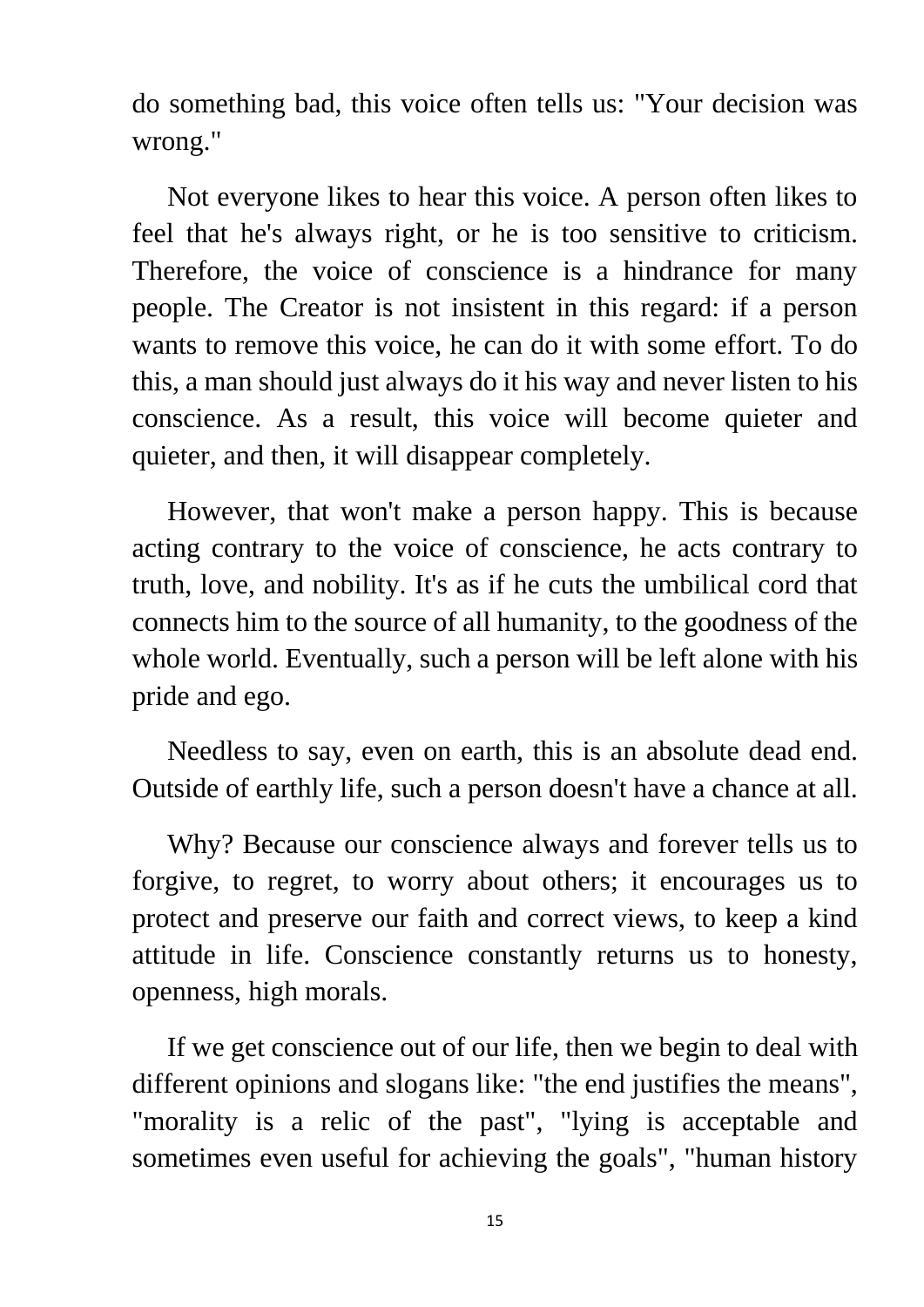do something bad, this voice often tells us: "Your decision was wrong."

 Not everyone likes to hear this voice. A person often likes to feel that he's always right, or he is too sensitive to criticism. Therefore, the voice of conscience is a hindrance for many people. The Creator is not insistent in this regard: if a person wants to remove this voice, he can do it with some effort. To do this, a man should just always do it his way and never listen to his conscience. As a result, this voice will become quieter and quieter, and then, it will disappear completely.

 However, that won't make a person happy. This is because acting contrary to the voice of conscience, he acts contrary to truth, love, and nobility. It's as if he cuts the umbilical cord that connects him to the source of all humanity, to the goodness of the whole world. Eventually, such a person will be left alone with his pride and ego.

 Needless to say, even on earth, this is an absolute dead end. Outside of earthly life, such a person doesn't have a chance at all.

 Why? Because our conscience always and forever tells us to forgive, to regret, to worry about others; it encourages us to protect and preserve our faith and correct views, to keep a kind attitude in life. Conscience constantly returns us to honesty, openness, high morals.

 If we get conscience out of our life, then we begin to deal with different opinions and slogans like: "the end justifies the means", "morality is a relic of the past", "lying is acceptable and sometimes even useful for achieving the goals", "human history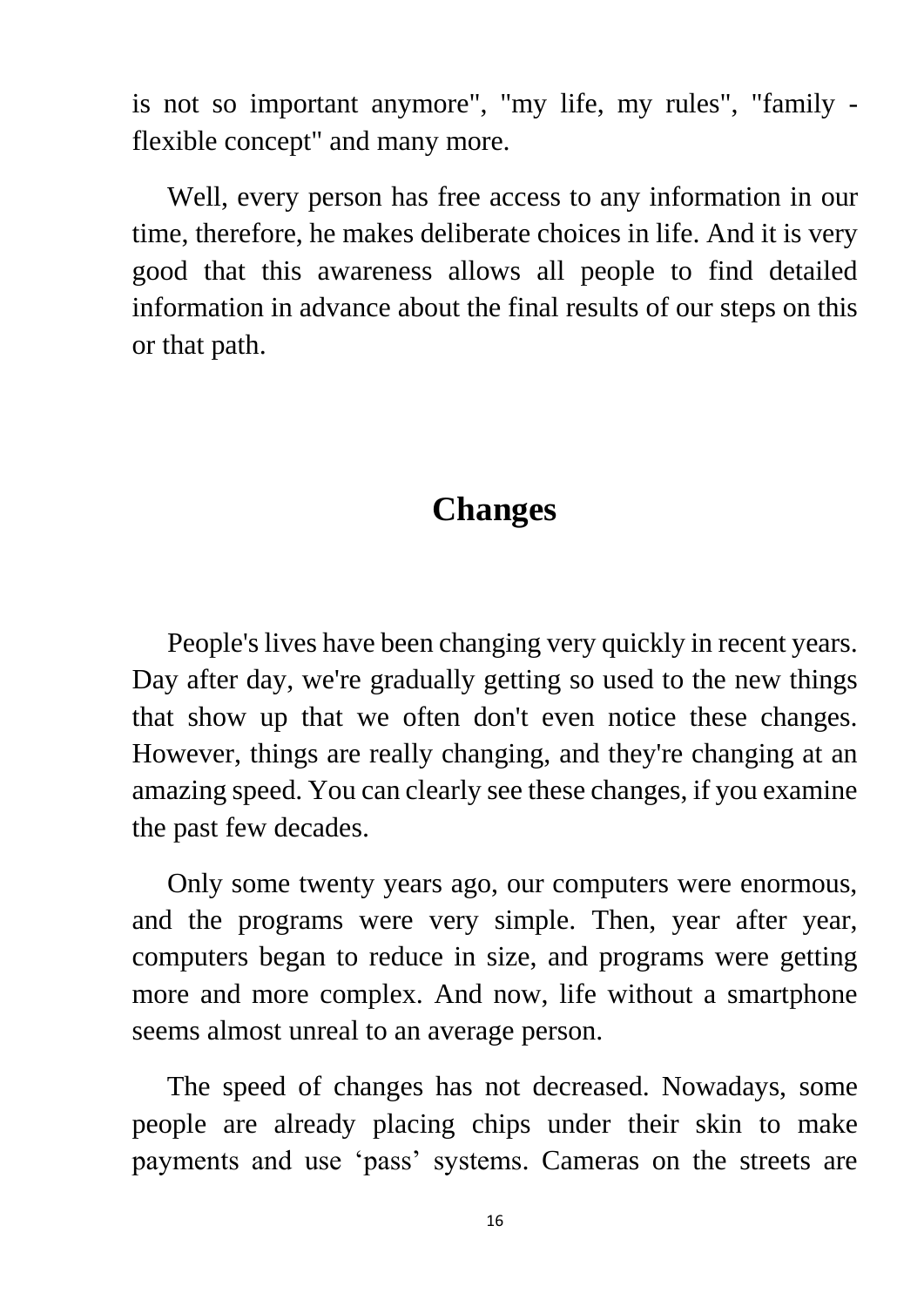is not so important anymore", "my life, my rules", "family flexible concept" and many more.

 Well, every person has free access to any information in our time, therefore, he makes deliberate choices in life. And it is very good that this awareness allows all people to find detailed information in advance about the final results of our steps on this or that path.

#### **Changes**

 People's lives have been changing very quickly in recent years. Day after day, we're gradually getting so used to the new things that show up that we often don't even notice these changes. However, things are really changing, and they're changing at an amazing speed. You can clearly see these changes, if you examine the past few decades.

 Only some twenty years ago, our computers were enormous, and the programs were very simple. Then, year after year, computers began to reduce in size, and programs were getting more and more complex. And now, life without a smartphone seems almost unreal to an average person.

 The speed of changes has not decreased. Nowadays, some people are already placing chips under their skin to make payments and use 'pass' systems. Cameras on the streets are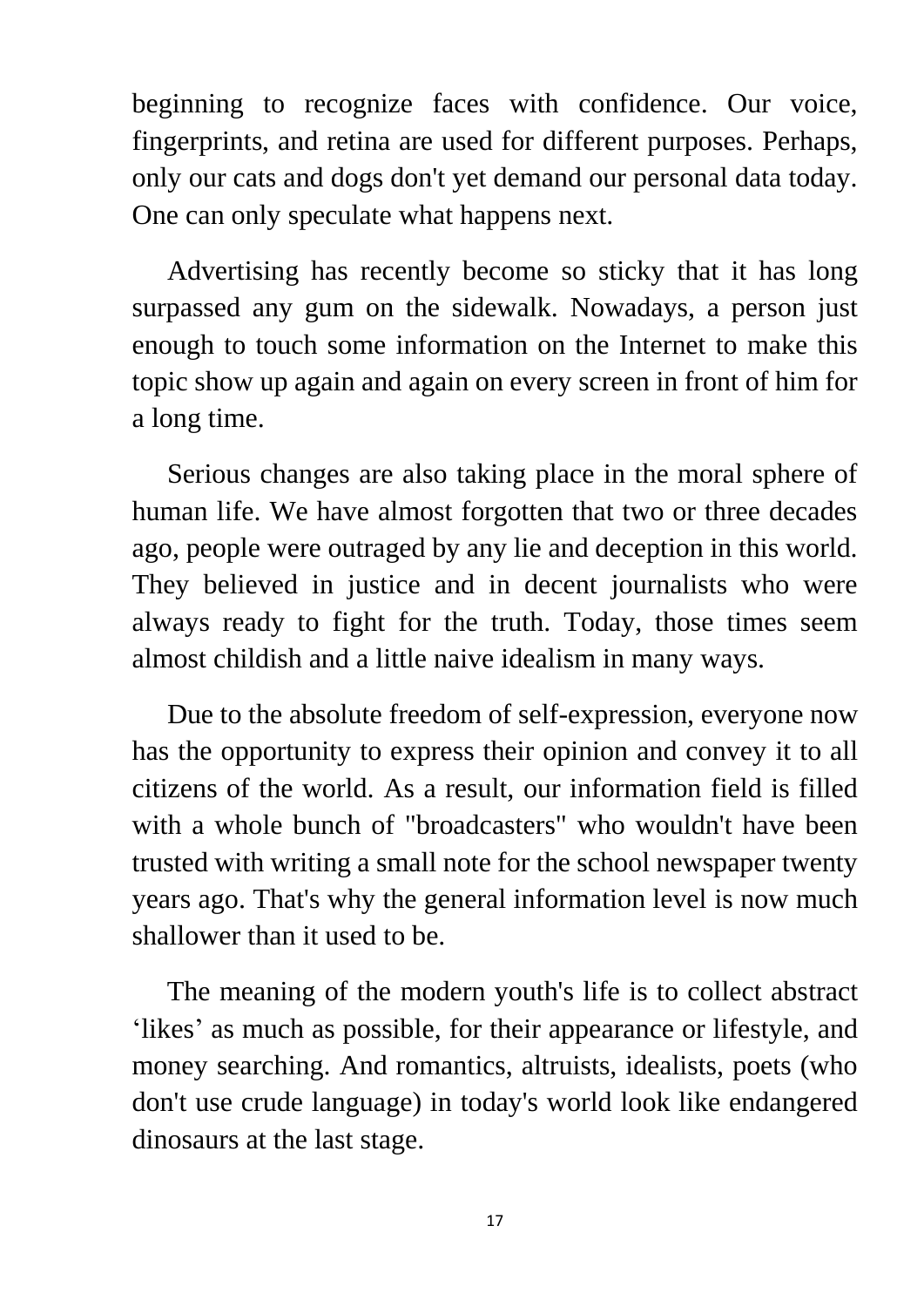beginning to recognize faces with confidence. Our voice, fingerprints, and retina are used for different purposes. Perhaps, only our cats and dogs don't yet demand our personal data today. One can only speculate what happens next.

 Advertising has recently become so sticky that it has long surpassed any gum on the sidewalk. Nowadays, a person just enough to touch some information on the Internet to make this topic show up again and again on every screen in front of him for a long time.

 Serious changes are also taking place in the moral sphere of human life. We have almost forgotten that two or three decades ago, people were outraged by any lie and deception in this world. They believed in justice and in decent journalists who were always ready to fight for the truth. Today, those times seem almost childish and a little naive idealism in many ways.

 Due to the absolute freedom of self-expression, everyone now has the opportunity to express their opinion and convey it to all citizens of the world. As a result, our information field is filled with a whole bunch of "broadcasters" who wouldn't have been trusted with writing a small note for the school newspaper twenty years ago. That's why the general information level is now much shallower than it used to be.

 The meaning of the modern youth's life is to collect abstract 'likes' as much as possible, for their appearance or lifestyle, and money searching. And romantics, altruists, idealists, poets (who don't use crude language) in today's world look like endangered dinosaurs at the last stage.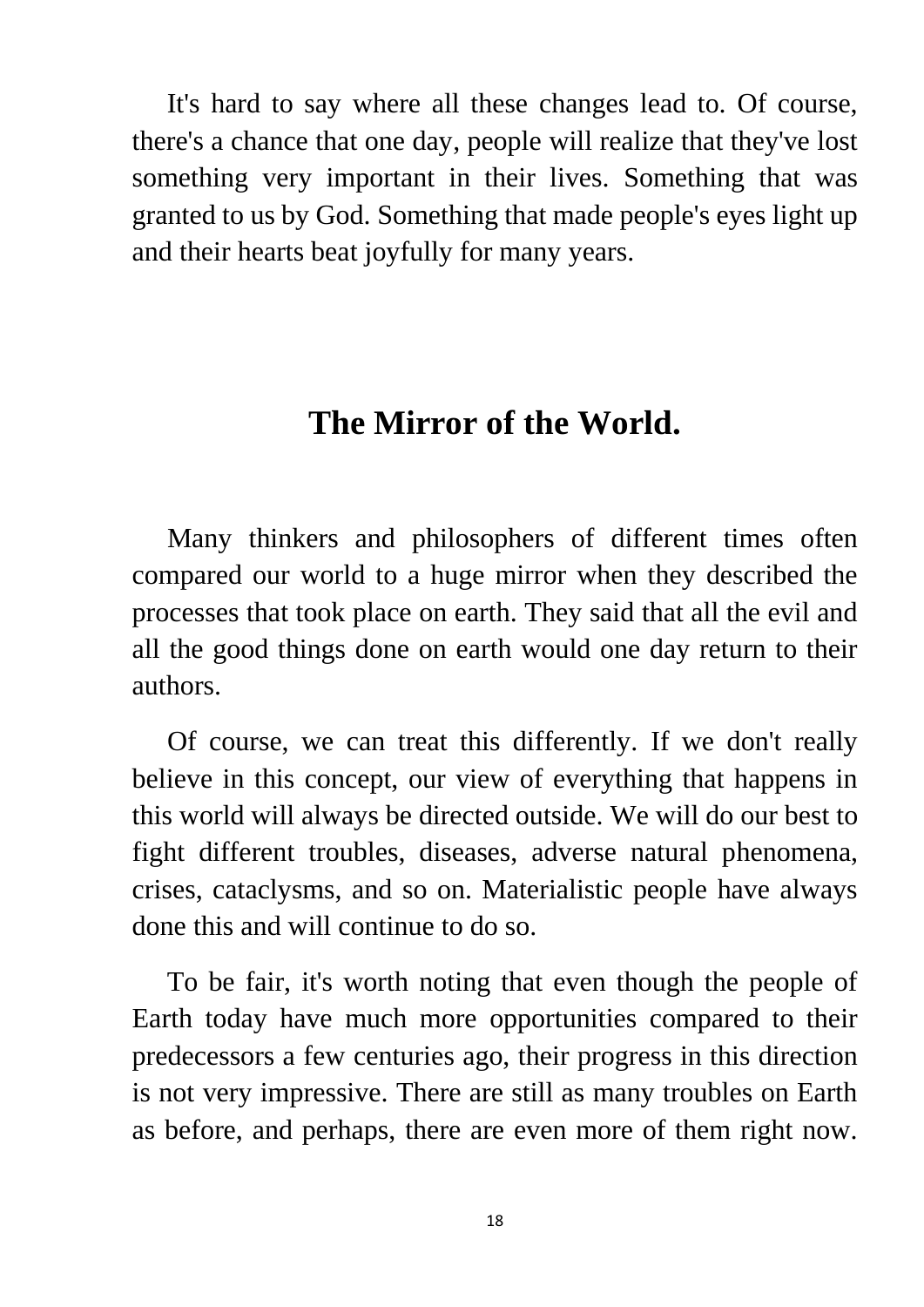It's hard to say where all these changes lead to. Of course, there's a chance that one day, people will realize that they've lost something very important in their lives. Something that was granted to us by God. Something that made people's eyes light up and their hearts beat joyfully for many years.

#### **The Mirror of the World.**

 Many thinkers and philosophers of different times often compared our world to a huge mirror when they described the processes that took place on earth. They said that all the evil and all the good things done on earth would one day return to their authors.

 Of course, we can treat this differently. If we don't really believe in this concept, our view of everything that happens in this world will always be directed outside. We will do our best to fight different troubles, diseases, adverse natural phenomena, crises, cataclysms, and so on. Materialistic people have always done this and will continue to do so.

 To be fair, it's worth noting that even though the people of Earth today have much more opportunities compared to their predecessors a few centuries ago, their progress in this direction is not very impressive. There are still as many troubles on Earth as before, and perhaps, there are even more of them right now.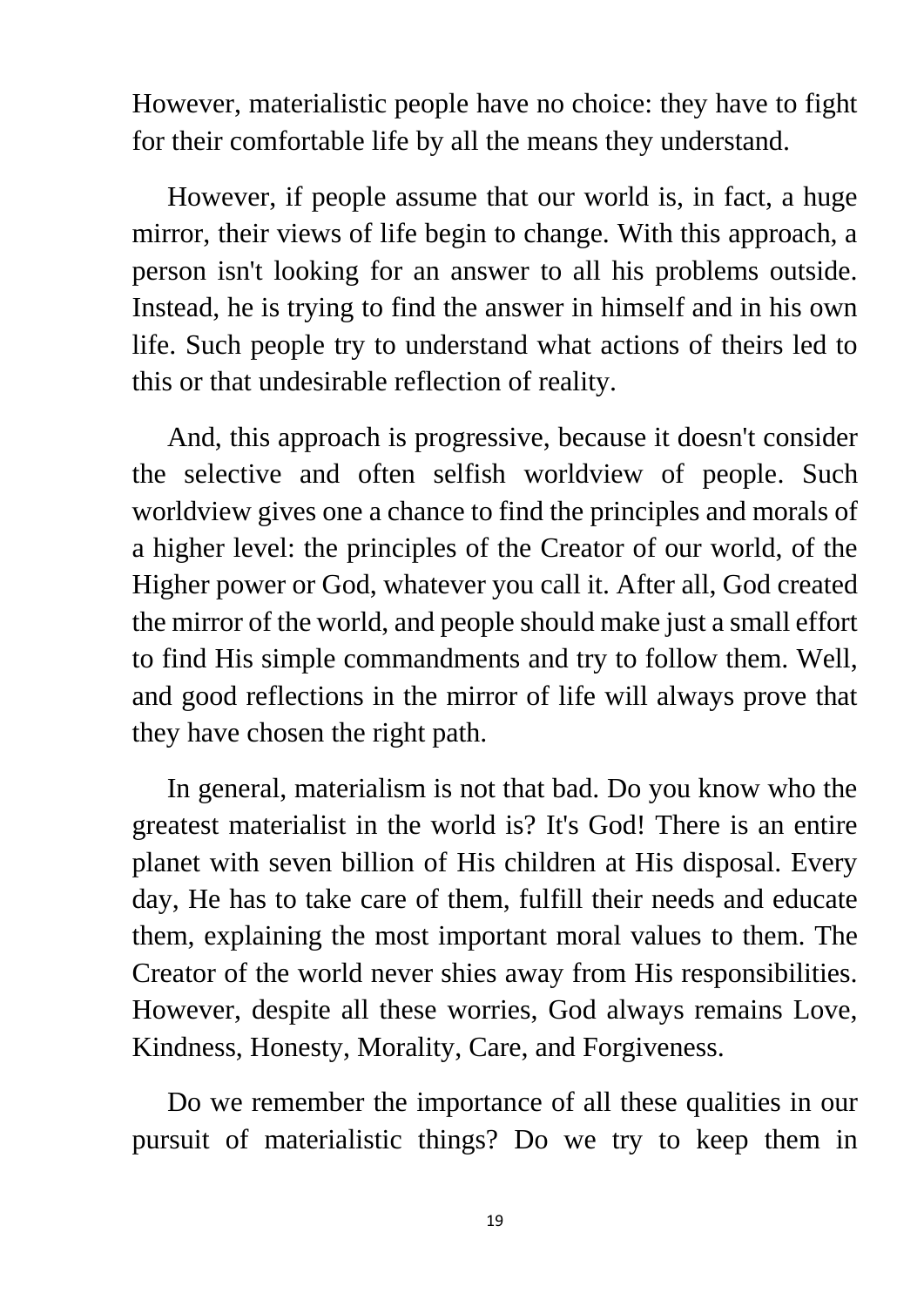However, materialistic people have no choice: they have to fight for their comfortable life by all the means they understand.

 However, if people assume that our world is, in fact, a huge mirror, their views of life begin to change. With this approach, a person isn't looking for an answer to all his problems outside. Instead, he is trying to find the answer in himself and in his own life. Such people try to understand what actions of theirs led to this or that undesirable reflection of reality.

 And, this approach is progressive, because it doesn't consider the selective and often selfish worldview of people. Such worldview gives one a chance to find the principles and morals of a higher level: the principles of the Creator of our world, of the Higher power or God, whatever you call it. After all, God created the mirror of the world, and people should make just a small effort to find His simple commandments and try to follow them. Well, and good reflections in the mirror of life will always prove that they have chosen the right path.

 In general, materialism is not that bad. Do you know who the greatest materialist in the world is? It's God! There is an entire planet with seven billion of His children at His disposal. Every day, He has to take care of them, fulfill their needs and educate them, explaining the most important moral values to them. The Creator of the world never shies away from His responsibilities. However, despite all these worries, God always remains Love, Kindness, Honesty, Morality, Care, and Forgiveness.

 Do we remember the importance of all these qualities in our pursuit of materialistic things? Do we try to keep them in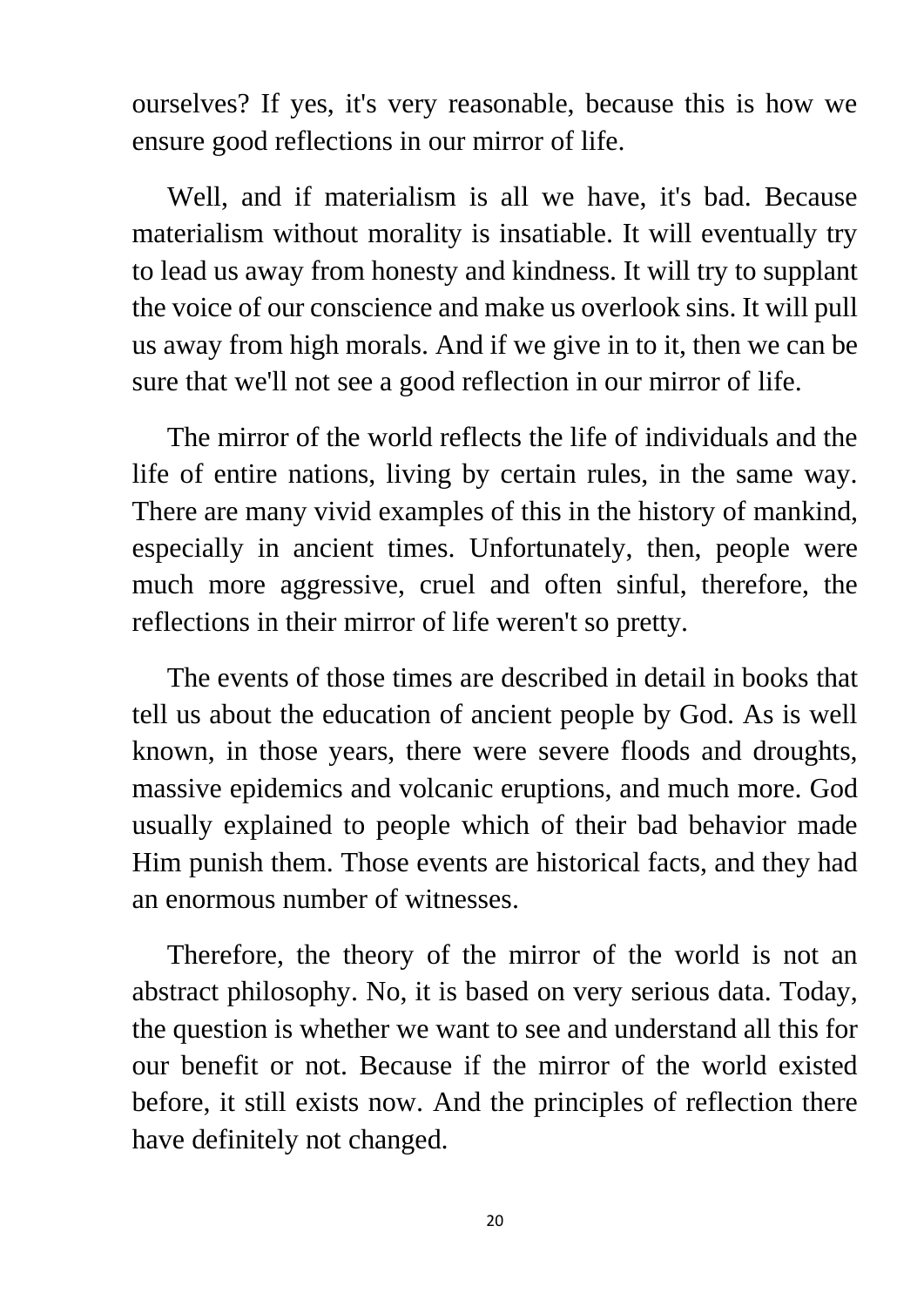ourselves? If yes, it's very reasonable, because this is how we ensure good reflections in our mirror of life.

 Well, and if materialism is all we have, it's bad. Because materialism without morality is insatiable. It will eventually try to lead us away from honesty and kindness. It will try to supplant the voice of our conscience and make us overlook sins. It will pull us away from high morals. And if we give in to it, then we can be sure that we'll not see a good reflection in our mirror of life.

 The mirror of the world reflects the life of individuals and the life of entire nations, living by certain rules, in the same way. There are many vivid examples of this in the history of mankind, especially in ancient times. Unfortunately, then, people were much more aggressive, cruel and often sinful, therefore, the reflections in their mirror of life weren't so pretty.

 The events of those times are described in detail in books that tell us about the education of ancient people by God. As is well known, in those years, there were severe floods and droughts, massive epidemics and volcanic eruptions, and much more. God usually explained to people which of their bad behavior made Him punish them. Those events are historical facts, and they had an enormous number of witnesses.

 Therefore, the theory of the mirror of the world is not an abstract philosophy. No, it is based on very serious data. Today, the question is whether we want to see and understand all this for our benefit or not. Because if the mirror of the world existed before, it still exists now. And the principles of reflection there have definitely not changed.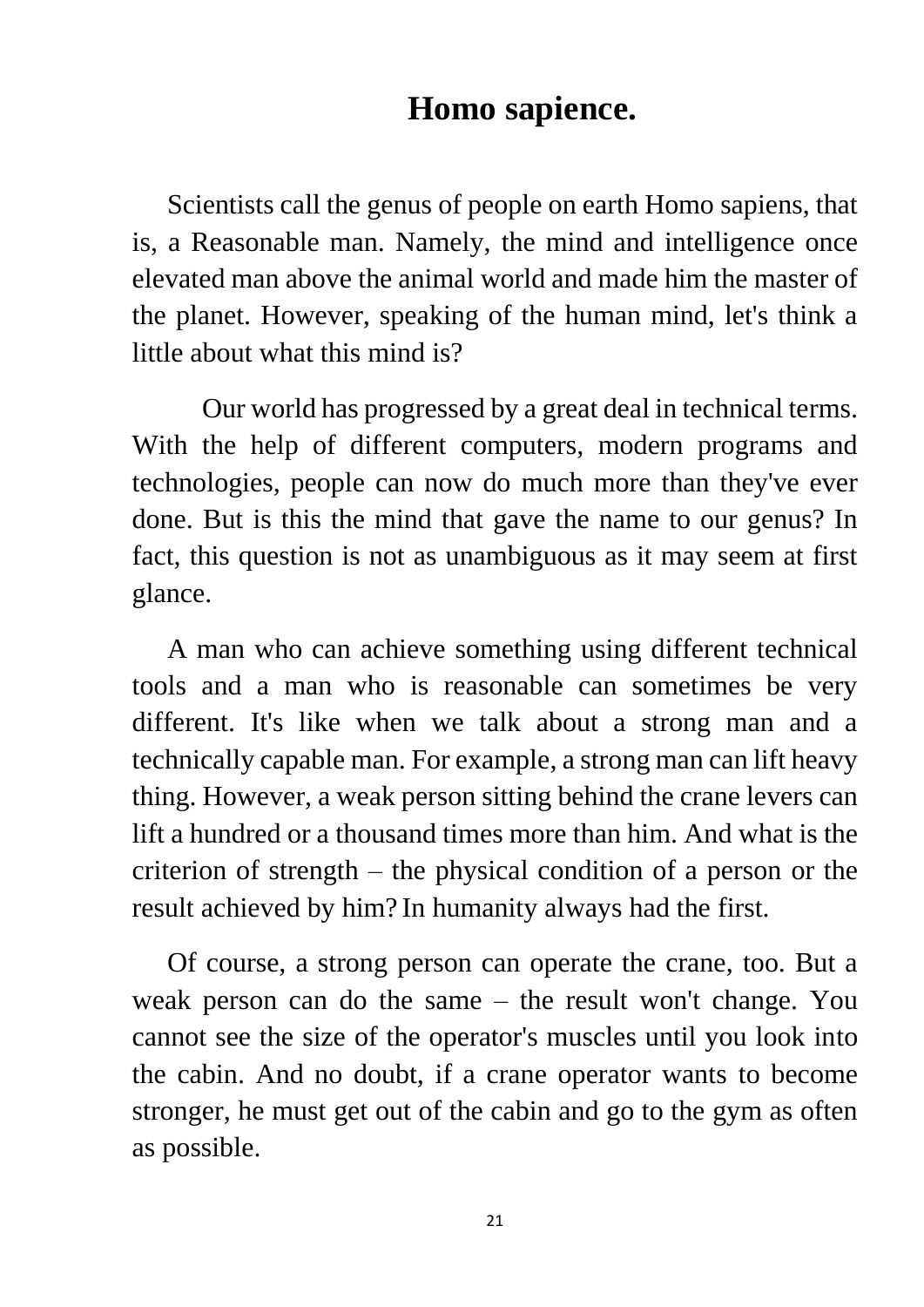#### **Homo sapience.**

 Scientists call the genus of people on earth Homo sapiens, that is, a Reasonable man. Namely, the mind and intelligence once elevated man above the animal world and made him the master of the planet. However, speaking of the human mind, let's think a little about what this mind is?

 Our world has progressed by a great deal in technical terms. With the help of different computers, modern programs and technologies, people can now do much more than they've ever done. But is this the mind that gave the name to our genus? In fact, this question is not as unambiguous as it may seem at first glance.

 A man who can achieve something using different technical tools and a man who is reasonable can sometimes be very different. It's like when we talk about a strong man and a technically capable man. For example, a strong man can lift heavy thing. However, a weak person sitting behind the crane levers can lift a hundred or a thousand times more than him. And what is the criterion of strength – the physical condition of a person or the result achieved by him? In humanity always had the first.

 Of course, a strong person can operate the crane, too. But a weak person can do the same – the result won't change. You cannot see the size of the operator's muscles until you look into the cabin. And no doubt, if a crane operator wants to become stronger, he must get out of the cabin and go to the gym as often as possible.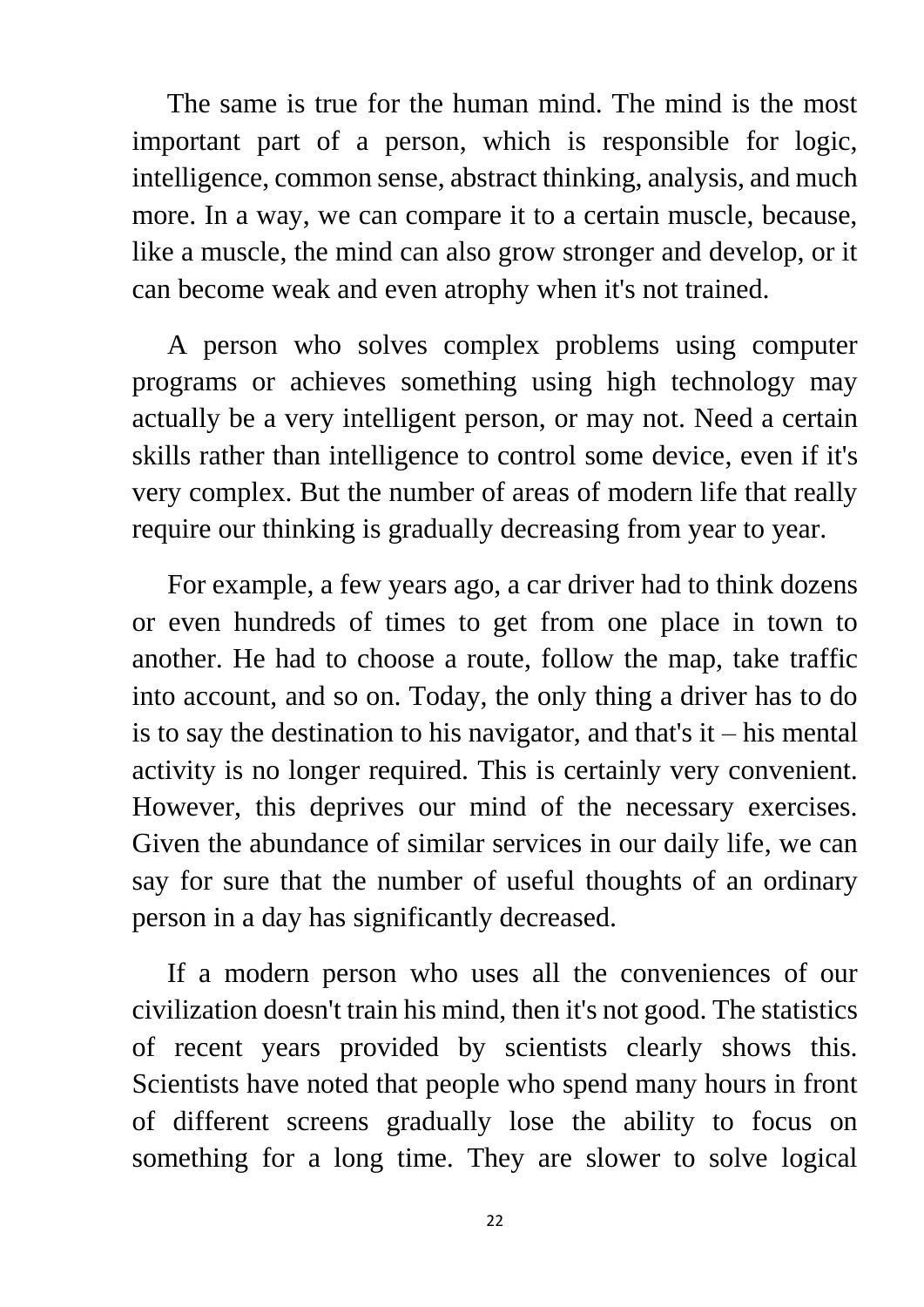The same is true for the human mind. The mind is the most important part of a person, which is responsible for logic, intelligence, common sense, abstract thinking, analysis, and much more. In a way, we can compare it to a certain muscle, because, like a muscle, the mind can also grow stronger and develop, or it can become weak and even atrophy when it's not trained.

 A person who solves complex problems using computer programs or achieves something using high technology may actually be a very intelligent person, or may not. Need a certain skills rather than intelligence to control some device, even if it's very complex. But the number of areas of modern life that really require our thinking is gradually decreasing from year to year.

 For example, a few years ago, a car driver had to think dozens or even hundreds of times to get from one place in town to another. He had to choose a route, follow the map, take traffic into account, and so on. Today, the only thing a driver has to do is to say the destination to his navigator, and that's  $it - his mental$ activity is no longer required. This is certainly very convenient. However, this deprives our mind of the necessary exercises. Given the abundance of similar services in our daily life, we can say for sure that the number of useful thoughts of an ordinary person in a day has significantly decreased.

 If a modern person who uses all the conveniences of our civilization doesn't train his mind, then it's not good. The statistics of recent years provided by scientists clearly shows this. Scientists have noted that people who spend many hours in front of different screens gradually lose the ability to focus on something for a long time. They are slower to solve logical

22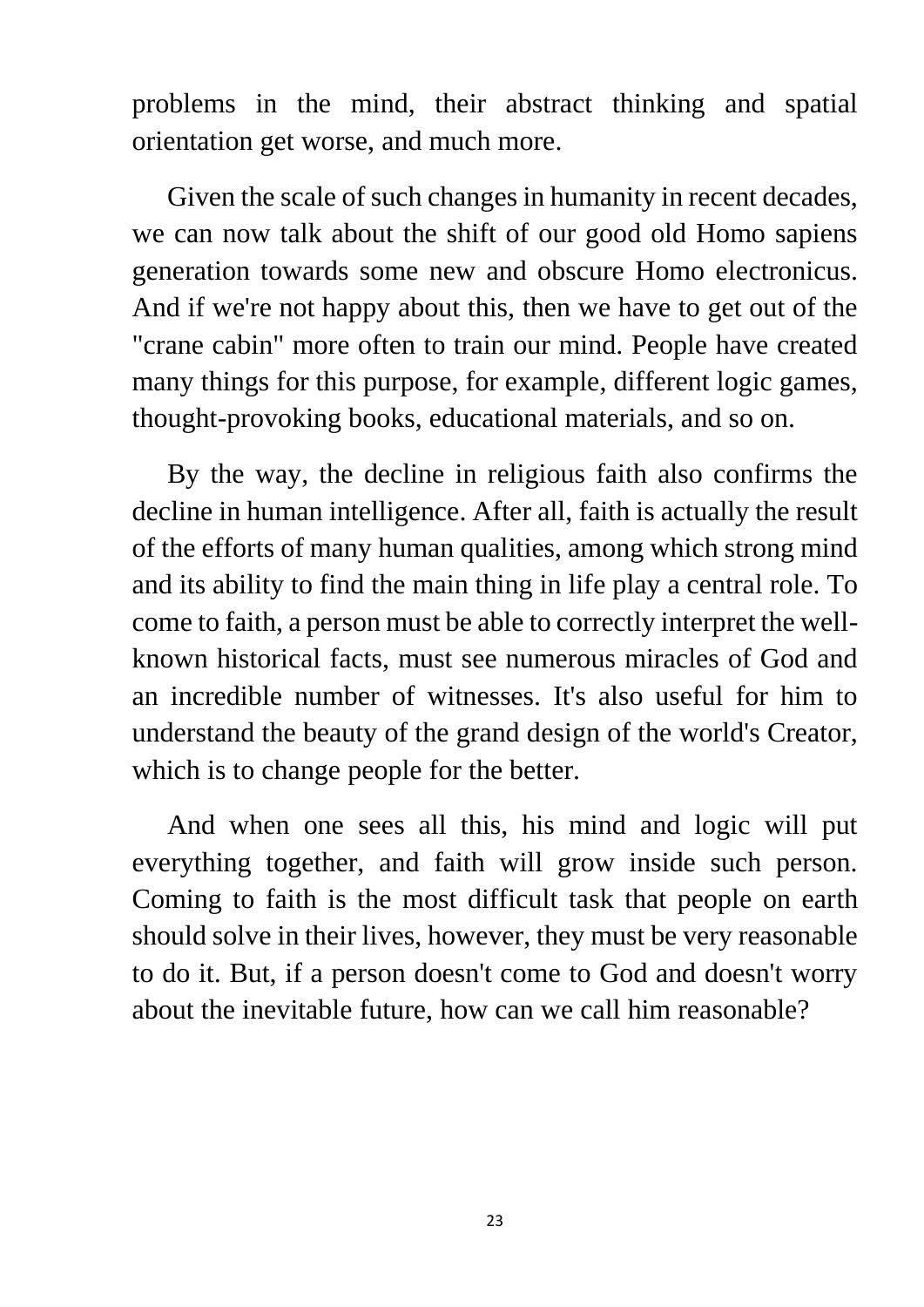problems in the mind, their abstract thinking and spatial orientation get worse, and much more.

 Given the scale of such changes in humanity in recent decades, we can now talk about the shift of our good old Homo sapiens generation towards some new and obscure Homo electronicus. And if we're not happy about this, then we have to get out of the "crane cabin" more often to train our mind. People have created many things for this purpose, for example, different logic games, thought-provoking books, educational materials, and so on.

 By the way, the decline in religious faith also confirms the decline in human intelligence. After all, faith is actually the result of the efforts of many human qualities, among which strong mind and its ability to find the main thing in life play a central role. To come to faith, a person must be able to correctly interpret the wellknown historical facts, must see numerous miracles of God and an incredible number of witnesses. It's also useful for him to understand the beauty of the grand design of the world's Creator, which is to change people for the better.

 And when one sees all this, his mind and logic will put everything together, and faith will grow inside such person. Coming to faith is the most difficult task that people on earth should solve in their lives, however, they must be very reasonable to do it. But, if a person doesn't come to God and doesn't worry about the inevitable future, how can we call him reasonable?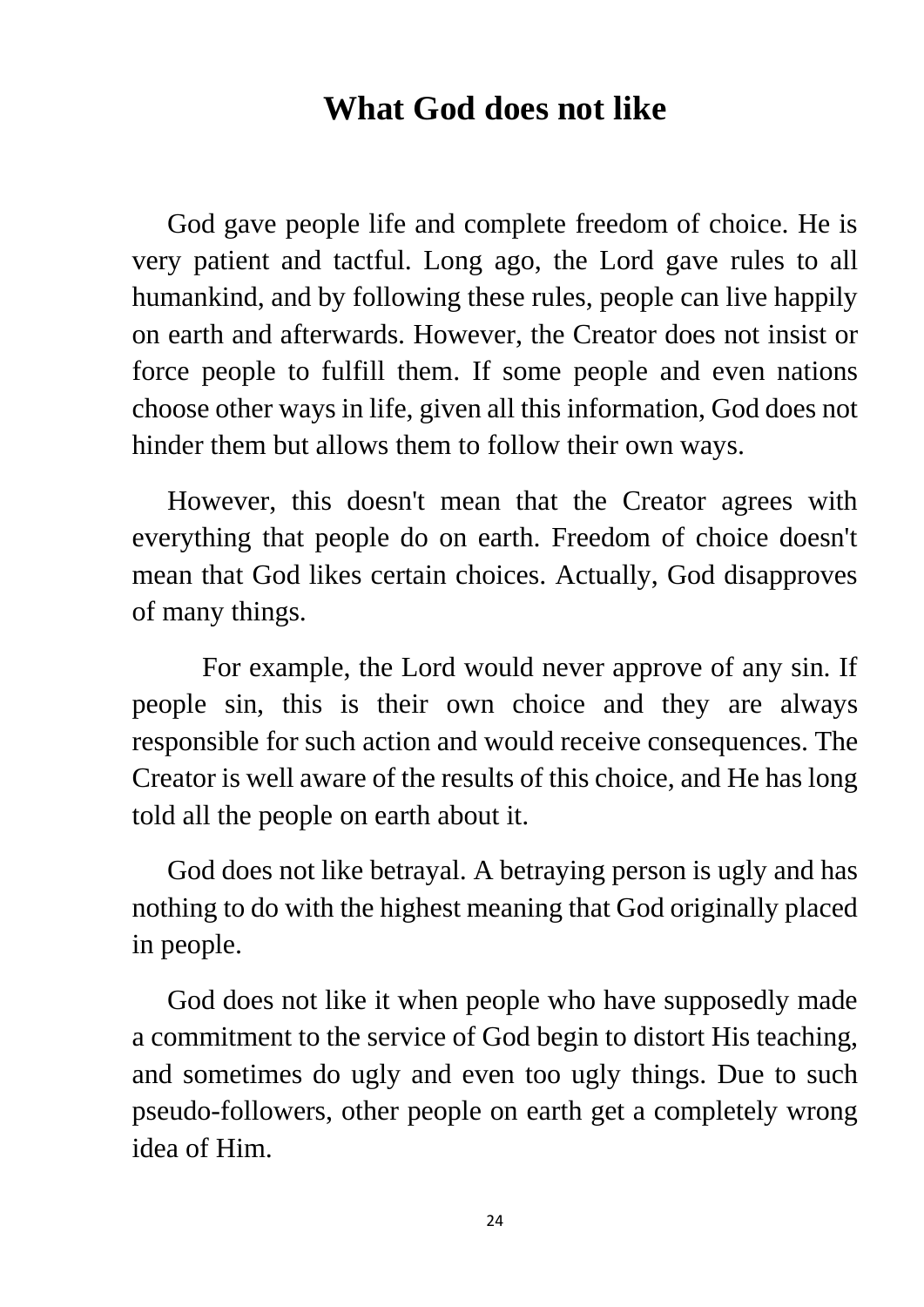#### **What God does not like**

 God gave people life and complete freedom of choice. He is very patient and tactful. Long ago, the Lord gave rules to all humankind, and by following these rules, people can live happily on earth and afterwards. However, the Creator does not insist or force people to fulfill them. If some people and even nations choose other ways in life, given all this information, God does not hinder them but allows them to follow their own ways.

 However, this doesn't mean that the Creator agrees with everything that people do on earth. Freedom of choice doesn't mean that God likes certain choices. Actually, God disapproves of many things.

 For example, the Lord would never approve of any sin. If people sin, this is their own choice and they are always responsible for such action and would receive consequences. The Creator is well aware of the results of this choice, and He has long told all the people on earth about it.

 God does not like betrayal. A betraying person is ugly and has nothing to do with the highest meaning that God originally placed in people.

 God does not like it when people who have supposedly made a commitment to the service of God begin to distort His teaching, and sometimes do ugly and even too ugly things. Due to such pseudo-followers, other people on earth get a completely wrong idea of Him.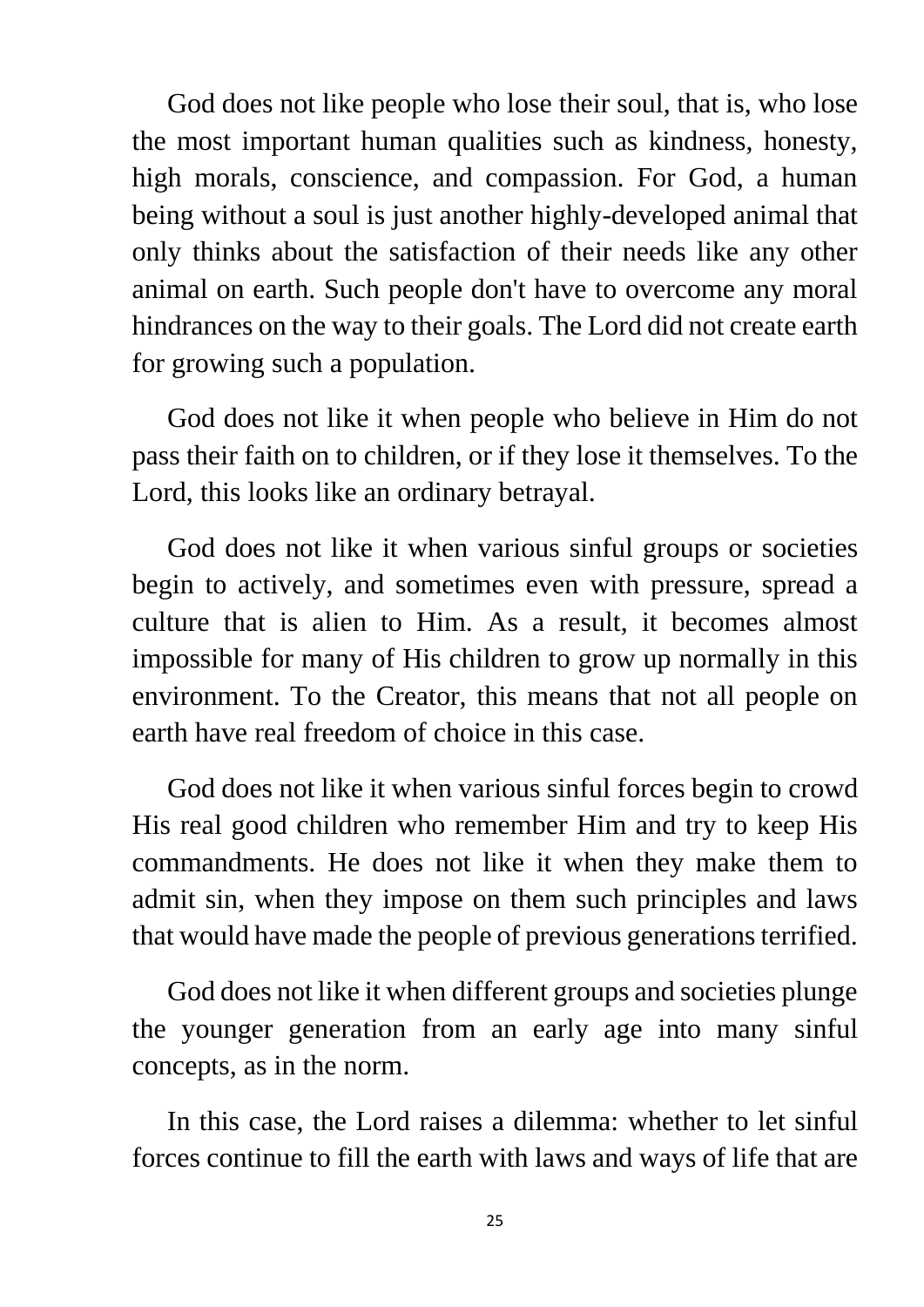God does not like people who lose their soul, that is, who lose the most important human qualities such as kindness, honesty, high morals, conscience, and compassion. For God, a human being without a soul is just another highly-developed animal that only thinks about the satisfaction of their needs like any other animal on earth. Such people don't have to overcome any moral hindrances on the way to their goals. The Lord did not create earth for growing such a population.

 God does not like it when people who believe in Him do not pass their faith on to children, or if they lose it themselves. To the Lord, this looks like an ordinary betrayal.

 God does not like it when various sinful groups or societies begin to actively, and sometimes even with pressure, spread a culture that is alien to Him. As a result, it becomes almost impossible for many of His children to grow up normally in this environment. To the Creator, this means that not all people on earth have real freedom of choice in this case.

 God does not like it when various sinful forces begin to crowd His real good children who remember Him and try to keep His commandments. He does not like it when they make them to admit sin, when they impose on them such principles and laws that would have made the people of previous generations terrified.

 God does not like it when different groups and societies plunge the younger generation from an early age into many sinful concepts, as in the norm.

 In this case, the Lord raises a dilemma: whether to let sinful forces continue to fill the earth with laws and ways of life that are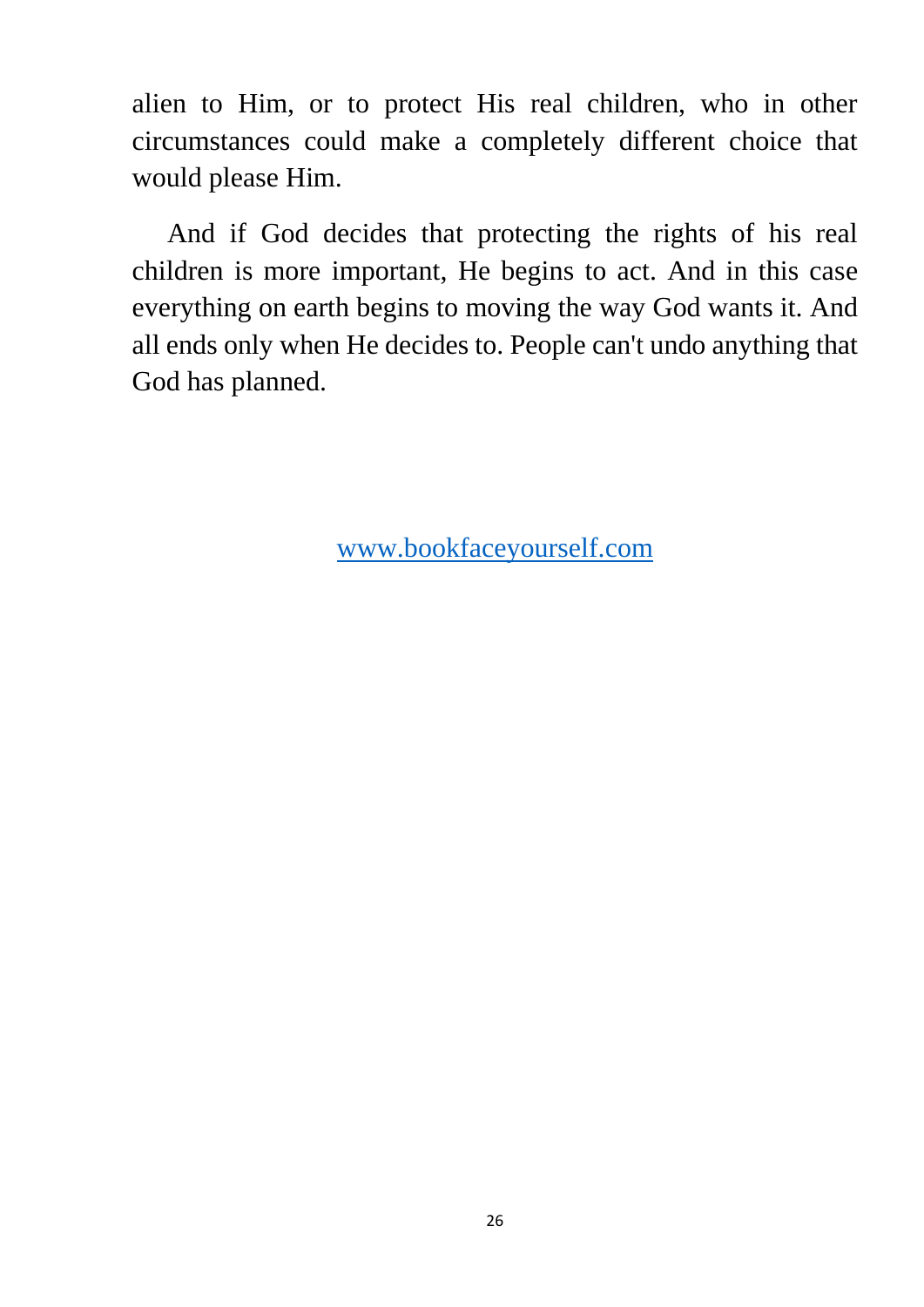alien to Him, or to protect His real children, who in other circumstances could make a completely different choice that would please Him.

 And if God decides that protecting the rights of his real children is more important, He begins to act. And in this case everything on earth begins to moving the way God wants it. And all ends only when He decides to. People can't undo anything that God has planned.

[www.bookfaceyourself.com](http://www.bookfaceyourself.com/)